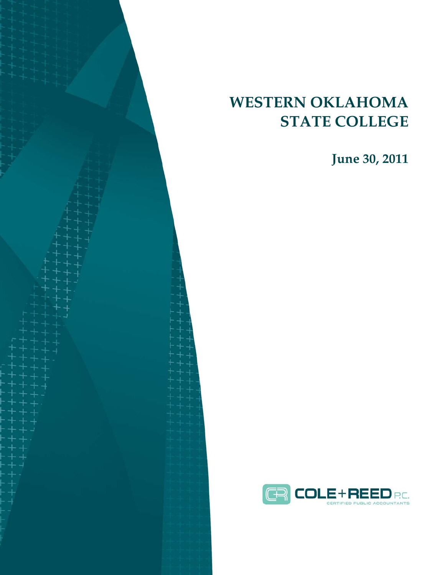# **WESTERN OKLAHOMA STATE COLLEGE**

**June 30, 2011** 

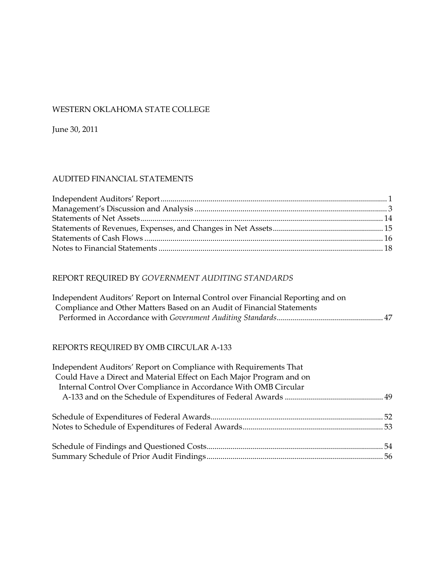### WESTERN OKLAHOMA STATE COLLEGE

June 30, 2011

#### AUDITED FINANCIAL STATEMENTS

### REPORT REQUIRED BY *GOVERNMENT AUDITING STANDARDS*

| Independent Auditors' Report on Internal Control over Financial Reporting and on |  |
|----------------------------------------------------------------------------------|--|
| Compliance and Other Matters Based on an Audit of Financial Statements           |  |
|                                                                                  |  |

### REPORTS REQUIRED BY OMB CIRCULAR A-133

| Independent Auditors' Report on Compliance with Requirements That<br>Could Have a Direct and Material Effect on Each Major Program and on |  |
|-------------------------------------------------------------------------------------------------------------------------------------------|--|
| Internal Control Over Compliance in Accordance With OMB Circular                                                                          |  |
|                                                                                                                                           |  |
|                                                                                                                                           |  |
|                                                                                                                                           |  |
|                                                                                                                                           |  |
|                                                                                                                                           |  |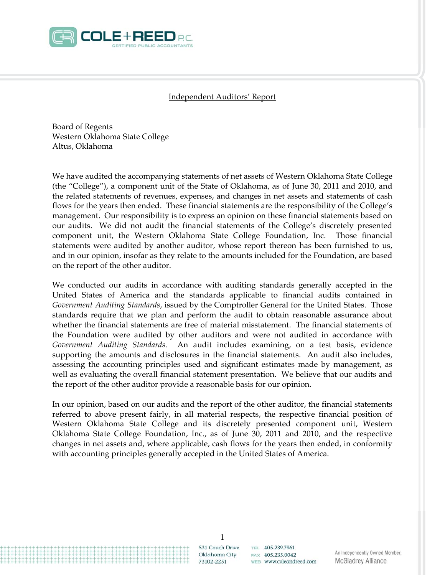

#### Independent Auditors' Report

Board of Regents Western Oklahoma State College Altus, Oklahoma

We have audited the accompanying statements of net assets of Western Oklahoma State College (the "College"), a component unit of the State of Oklahoma, as of June 30, 2011 and 2010, and the related statements of revenues, expenses, and changes in net assets and statements of cash flows for the years then ended. These financial statements are the responsibility of the College's management. Our responsibility is to express an opinion on these financial statements based on our audits. We did not audit the financial statements of the College's discretely presented component unit, the Western Oklahoma State College Foundation, Inc. Those financial statements were audited by another auditor, whose report thereon has been furnished to us, and in our opinion, insofar as they relate to the amounts included for the Foundation, are based on the report of the other auditor.

We conducted our audits in accordance with auditing standards generally accepted in the United States of America and the standards applicable to financial audits contained in *Government Auditing Standards*, issued by the Comptroller General for the United States. Those standards require that we plan and perform the audit to obtain reasonable assurance about whether the financial statements are free of material misstatement. The financial statements of the Foundation were audited by other auditors and were not audited in accordance with *Government Auditing Standards*. An audit includes examining, on a test basis, evidence supporting the amounts and disclosures in the financial statements. An audit also includes, assessing the accounting principles used and significant estimates made by management, as well as evaluating the overall financial statement presentation. We believe that our audits and the report of the other auditor provide a reasonable basis for our opinion.

In our opinion, based on our audits and the report of the other auditor, the financial statements referred to above present fairly, in all material respects, the respective financial position of Western Oklahoma State College and its discretely presented component unit, Western Oklahoma State College Foundation, Inc., as of June 30, 2011 and 2010, and the respective changes in net assets and, where applicable, cash flows for the years then ended, in conformity with accounting principles generally accepted in the United States of America.

> 1 531 Couch Drive Oklahoma City 73102-2251

TEL 405.239.7961  $FAX$  405 235 0042 WEB www.coleandreed.com

An Independently Owned Member, **McGladrey Alliance**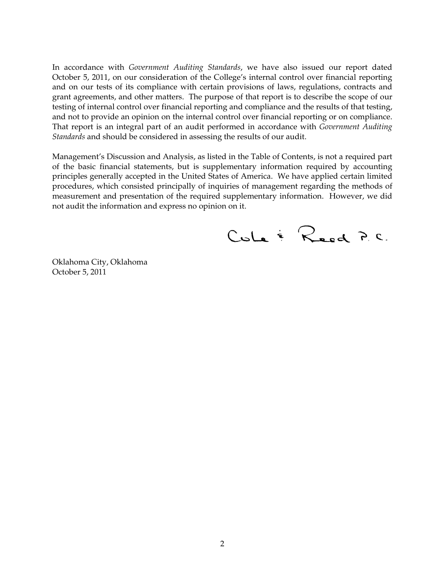In accordance with *Government Auditing Standards*, we have also issued our report dated October 5, 2011, on our consideration of the College's internal control over financial reporting and on our tests of its compliance with certain provisions of laws, regulations, contracts and grant agreements, and other matters. The purpose of that report is to describe the scope of our testing of internal control over financial reporting and compliance and the results of that testing, and not to provide an opinion on the internal control over financial reporting or on compliance. That report is an integral part of an audit performed in accordance with *Government Auditing Standards* and should be considered in assessing the results of our audit.

Management's Discussion and Analysis, as listed in the Table of Contents, is not a required part of the basic financial statements, but is supplementary information required by accounting principles generally accepted in the United States of America. We have applied certain limited procedures, which consisted principally of inquiries of management regarding the methods of measurement and presentation of the required supplementary information. However, we did not audit the information and express no opinion on it.

CuLe & Reed P.C.

Oklahoma City, Oklahoma October 5, 2011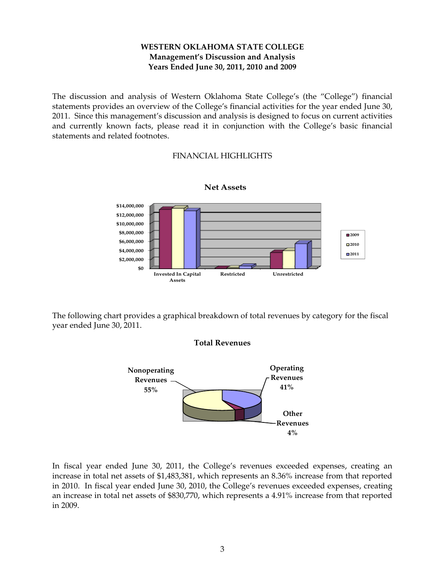The discussion and analysis of Western Oklahoma State College's (the "College") financial statements provides an overview of the College's financial activities for the year ended June 30, 2011. Since this management's discussion and analysis is designed to focus on current activities and currently known facts, please read it in conjunction with the College's basic financial statements and related footnotes.

### FINANCIAL HIGHLIGHTS



#### **Net Assets**

The following chart provides a graphical breakdown of total revenues by category for the fiscal year ended June 30, 2011.





In fiscal year ended June 30, 2011, the College's revenues exceeded expenses, creating an increase in total net assets of \$1,483,381, which represents an 8.36% increase from that reported in 2010. In fiscal year ended June 30, 2010, the College's revenues exceeded expenses, creating an increase in total net assets of \$830,770, which represents a 4.91% increase from that reported in 2009.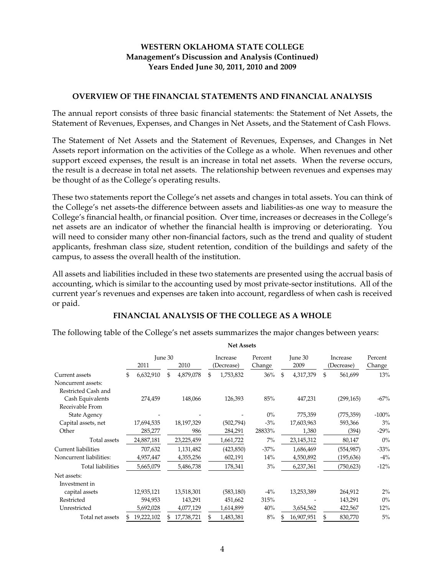#### **OVERVIEW OF THE FINANCIAL STATEMENTS AND FINANCIAL ANALYSIS**

The annual report consists of three basic financial statements: the Statement of Net Assets, the Statement of Revenues, Expenses, and Changes in Net Assets, and the Statement of Cash Flows.

The Statement of Net Assets and the Statement of Revenues, Expenses, and Changes in Net Assets report information on the activities of the College as a whole. When revenues and other support exceed expenses, the result is an increase in total net assets. When the reverse occurs, the result is a decrease in total net assets. The relationship between revenues and expenses may be thought of as the College's operating results.

These two statements report the College's net assets and changes in total assets. You can think of the College's net assets-the difference between assets and liabilities-as one way to measure the College's financial health, or financial position. Over time, increases or decreases in the College's net assets are an indicator of whether the financial health is improving or deteriorating. You will need to consider many other non-financial factors, such as the trend and quality of student applicants, freshman class size, student retention, condition of the buildings and safety of the campus, to assess the overall health of the institution.

All assets and liabilities included in these two statements are presented using the accrual basis of accounting, which is similar to the accounting used by most private-sector institutions. All of the current year's revenues and expenses are taken into account, regardless of when cash is received or paid.

#### **FINANCIAL ANALYSIS OF THE COLLEGE AS A WHOLE**

The following table of the College's net assets summarizes the major changes between years:

|                         |                  |                 |          | <b>Net Assets</b> |         |        |         |            |               |         |  |
|-------------------------|------------------|-----------------|----------|-------------------|---------|--------|---------|------------|---------------|---------|--|
|                         | June 30          |                 | Increase |                   | Percent |        | June 30 |            | Increase      | Percent |  |
|                         | 2011             | 2010            |          | (Decrease)        | Change  |        |         | 2009       | (Decrease)    | Change  |  |
| Current assets          | \$<br>6,632,910  | \$<br>4,879,078 | \$       | 1,753,832         |         | 36%    | \$      | 4,317,379  | \$<br>561,699 | 13%     |  |
| Noncurrent assets:      |                  |                 |          |                   |         |        |         |            |               |         |  |
| Restricted Cash and     |                  |                 |          |                   |         |        |         |            |               |         |  |
| Cash Equivalents        | 274,459          | 148,066         |          | 126,393           |         | 85%    |         | 447,231    | (299, 165)    | $-67%$  |  |
| Receivable From         |                  |                 |          |                   |         |        |         |            |               |         |  |
| State Agency            |                  |                 |          |                   |         | $0\%$  |         | 775,359    | (775, 359)    | $-100%$ |  |
| Capital assets, net     | 17,694,535       | 18,197,329      |          | (502,794)         |         | $-3%$  |         | 17,603,963 | 593,366       | 3%      |  |
| Other                   | 285,277          | 986             |          | 284,291           |         | 28833% |         | 1,380      | (394)         | $-29%$  |  |
| Total assets            | 24,887,181       | 23,225,459      |          | 1,661,722         |         | $7\%$  |         | 23,145,312 | 80,147        | $0\%$   |  |
| Current liabilities     | 707,632          | 1,131,482       |          | (423, 850)        |         | $-37%$ |         | 1,686,469  | (554, 987)    | $-33%$  |  |
| Noncurrent liabilities: | 4,957,447        | 4,355,256       |          | 602,191           |         | 14%    |         | 4,550,892  | (195, 636)    | $-4%$   |  |
| Total liabilities       | 5,665,079        | 5,486,738       |          | 178,341           |         | 3%     |         | 6,237,361  | (750, 623)    | $-12%$  |  |
| Net assets:             |                  |                 |          |                   |         |        |         |            |               |         |  |
| Investment in           |                  |                 |          |                   |         |        |         |            |               |         |  |
| capital assets          | 12,935,121       | 13,518,301      |          | (583, 180)        |         | $-4%$  |         | 13,253,389 | 264,912       | 2%      |  |
| Restricted              | 594,953          | 143,291         |          | 451,662           |         | 315%   |         |            | 143,291       | $0\%$   |  |
| Unrestricted            | 5,692,028        | 4,077,129       |          | 1,614,899         |         | 40%    |         | 3,654,562  | 422,567       | 12%     |  |
| Total net assets        | \$<br>19,222,102 | 17,738,721      | \$       | 1,483,381         |         | 8%     |         | 16,907,951 | \$<br>830,770 | 5%      |  |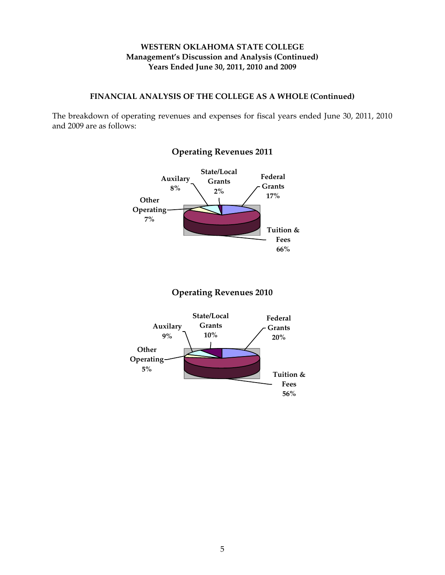#### **FINANCIAL ANALYSIS OF THE COLLEGE AS A WHOLE (Continued)**

The breakdown of operating revenues and expenses for fiscal years ended June 30, 2011, 2010 and 2009 are as follows:



### **Operating Revenues 2011**

### **Operating Revenues 2010**

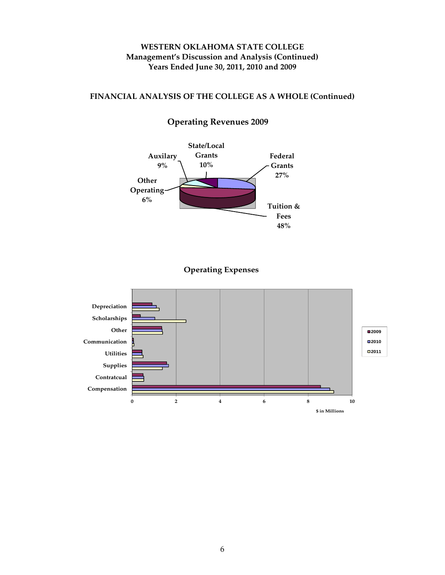#### **FINANCIAL ANALYSIS OF THE COLLEGE AS A WHOLE (Continued)**



### **Operating Revenues 2009**

### **Operating Expenses**

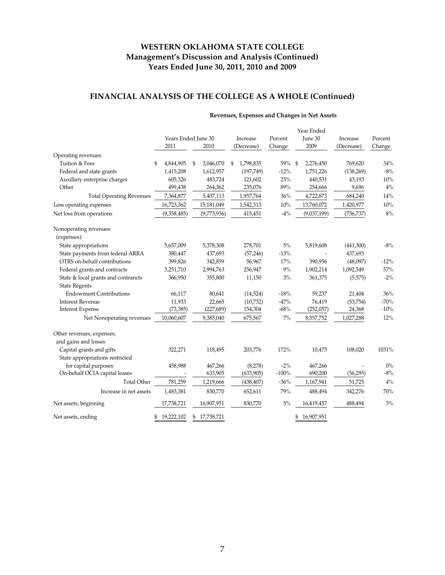### **FINANCIAL ANALYSIS OF THE COLLEGE AS A WHOLE (Continued)**

|                                      | Years Ended June 30 |                  | Increase        | Percent | Year Ended<br>June 30 | Increase   | Percent |
|--------------------------------------|---------------------|------------------|-----------------|---------|-----------------------|------------|---------|
|                                      | 2011                | 2010             | (Decrease)      | Change  | 2009                  | (Decrease) | Change  |
| Operating revenues:                  |                     |                  |                 |         |                       |            |         |
| Tuition & Fees                       | 4,844,905<br>\$     | \$<br>3,046,070  | 1,798,835<br>\$ | 59%     | -\$<br>2,276,450      | 769,620    | 34%     |
| Federal and state grants             | 1,415,208           | 1,612,957        | (197,749)       | $-12%$  | 1,751,226             | (138, 269) | $-8%$   |
| Auxillary enterprise charges         | 605,326             | 483,724          | 121,602         | 25%     | 440,531               | 43,193     | 10%     |
| Other                                | 499,438             | 264,362          | 235,076         | $89\%$  | 254,666               | 9,696      | 4%      |
| <b>Total Operating Revenues</b>      | 7,364,877           | 5,407,113        | 1,957,764       | $36\%$  | 4,722,873             | 684,240    | 14%     |
| Less operating expenses              | 16,723,362          | 15,181,049       | 1,542,313       | 10%     | 13,760,072            | 1,420,977  | 10%     |
| Net loss from operations             | (9,358,485)         | (9,773,936)      | 415,451         | $-4\%$  | (9,037,199)           | (736, 737) | 8%      |
| Nonoperating revenues<br>(expenses): |                     |                  |                 |         |                       |            |         |
| State appropriations                 | 5,657,009           | 5,378,308        | 278,701         | $5\%$   | 5,819,608             | (441,300)  | $-8%$   |
| State payments from federal ARRA     | 380,447             | 437,693          | (57, 246)       | $-13%$  |                       | 437,693    |         |
| OTRS on-behalf contributions         | 399,826             | 342,859          | 56,967          | 17%     | 390,956               | (48,097)   | $-12%$  |
| Federal grants and contracts         | 3,251,710           | 2,994,763        | 256,947         | 9%      | 1,902,214             | 1,092,549  | 57%     |
| State & local grants and contrancts  | 366,950             | 355,800          | 11,150          | 3%      | 361,375               | (5,575)    | $-2\%$  |
| <b>State Regents</b>                 |                     |                  |                 |         |                       |            |         |
| <b>Endowment Contributions</b>       | 66,117              | 80,641           | (14, 524)       | $-18%$  | 59,237                | 21,404     | 36%     |
| <b>Interest Revenue</b>              | 11,933              | 22,665           | (10,732)        | $-47%$  | 76,419                | (53,754)   | $-70%$  |
| <b>Interest Expense</b>              | (73, 385)           | (227, 689)       | 154,304         | $-68%$  | (252,057)             | 24,368     | $-10%$  |
| Net Nonoperating revenues            | 10,060,607          | 9,385,040        | 675,567         | $7\%$   | 8,357,752             | 1,027,288  | 12%     |
| Other revenues, expenses,            |                     |                  |                 |         |                       |            |         |
| and gains and losses                 |                     |                  |                 |         |                       |            |         |
| Capital grants and gifts             | 322,271             | 118,495          | 203,776         | 172%    | 10,475                | 108,020    | 1031%   |
| State appropriations restricted      |                     |                  |                 |         |                       |            |         |
| for capital purposes                 | 458,988             | 467,266          | (8,278)         | $-2\%$  | 467,266               |            | $0\%$   |
| On-behalf OCIA capital leases        |                     | 633,905          | (633,905)       | $-100%$ | 690,200               | (56, 295)  | $-8%$   |
| <b>Total Other</b>                   | 781,259             | 1,219,666        | (438, 407)      | $-36%$  | 1,167,941             | 51,725     | $4\%$   |
| Increase in net assets               | 1,483,381           | 830,770          | 652,611         | 79%     | 488,494               | 342,276    | 70%     |
| Net assets, beginning                | 17,738,721          | 16,907,951       | 830,770         | 5%      | 16,419,457            | 488,494    | 3%      |
| Net assets, ending                   | 19,222,102<br>\$    | \$<br>17,738,721 |                 |         | 16,907,951<br>\$      |            |         |

#### **Revenues, Expenses and Changes in Net Assets**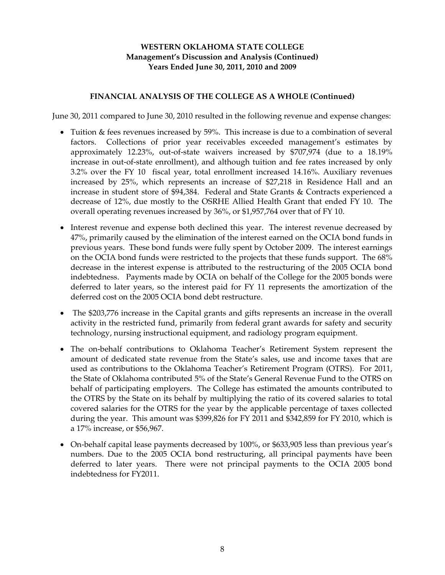#### **FINANCIAL ANALYSIS OF THE COLLEGE AS A WHOLE (Continued)**

June 30, 2011 compared to June 30, 2010 resulted in the following revenue and expense changes:

- Tuition & fees revenues increased by 59%. This increase is due to a combination of several factors. Collections of prior year receivables exceeded management's estimates by approximately 12.23%, out-of-state waivers increased by \$707,974 (due to a 18.19% increase in out-of-state enrollment), and although tuition and fee rates increased by only 3.2% over the FY 10 fiscal year, total enrollment increased 14.16%. Auxiliary revenues increased by 25%, which represents an increase of \$27,218 in Residence Hall and an increase in student store of \$94,384. Federal and State Grants & Contracts experienced a decrease of 12%, due mostly to the OSRHE Allied Health Grant that ended FY 10. The overall operating revenues increased by 36%, or \$1,957,764 over that of FY 10.
- Interest revenue and expense both declined this year. The interest revenue decreased by 47%, primarily caused by the elimination of the interest earned on the OCIA bond funds in previous years. These bond funds were fully spent by October 2009. The interest earnings on the OCIA bond funds were restricted to the projects that these funds support. The 68% decrease in the interest expense is attributed to the restructuring of the 2005 OCIA bond indebtedness. Payments made by OCIA on behalf of the College for the 2005 bonds were deferred to later years, so the interest paid for FY 11 represents the amortization of the deferred cost on the 2005 OCIA bond debt restructure.
- The \$203,776 increase in the Capital grants and gifts represents an increase in the overall activity in the restricted fund, primarily from federal grant awards for safety and security technology, nursing instructional equipment, and radiology program equipment.
- The on-behalf contributions to Oklahoma Teacher's Retirement System represent the amount of dedicated state revenue from the State's sales, use and income taxes that are used as contributions to the Oklahoma Teacher's Retirement Program (OTRS). For 2011, the State of Oklahoma contributed 5% of the State's General Revenue Fund to the OTRS on behalf of participating employers. The College has estimated the amounts contributed to the OTRS by the State on its behalf by multiplying the ratio of its covered salaries to total covered salaries for the OTRS for the year by the applicable percentage of taxes collected during the year. This amount was \$399,826 for FY 2011 and \$342,859 for FY 2010, which is a 17% increase, or \$56,967.
- On-behalf capital lease payments decreased by 100%, or \$633,905 less than previous year's numbers. Due to the 2005 OCIA bond restructuring, all principal payments have been deferred to later years. There were not principal payments to the OCIA 2005 bond indebtedness for FY2011.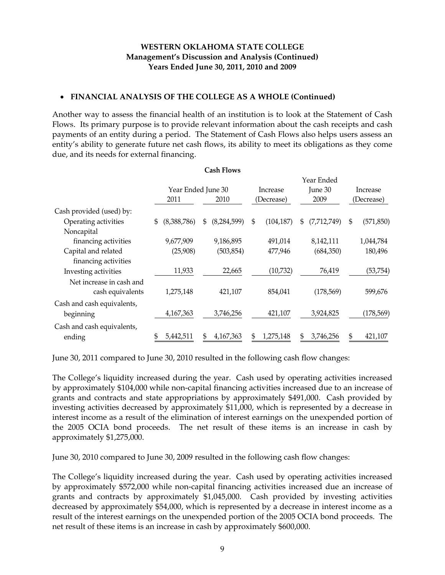#### **FINANCIAL ANALYSIS OF THE COLLEGE AS A WHOLE (Continued)**

Another way to assess the financial health of an institution is to look at the Statement of Cash Flows. Its primary purpose is to provide relevant information about the cash receipts and cash payments of an entity during a period. The Statement of Cash Flows also helps users assess an entity's ability to generate future net cash flows, its ability to meet its obligations as they come due, and its needs for external financing.

|                            |                    |    | <b>Cash Flows</b> |    |            |    |             |          |            |
|----------------------------|--------------------|----|-------------------|----|------------|----|-------------|----------|------------|
|                            |                    |    |                   |    |            |    | Year Ended  |          |            |
|                            | Year Ended June 30 |    | Increase          |    | June 30    |    |             | Increase |            |
|                            | 2011               |    | 2010              |    | (Decrease) |    | 2009        |          | (Decrease) |
| Cash provided (used) by:   |                    |    |                   |    |            |    |             |          |            |
| Operating activities       | \$<br>(8,388,786)  | \$ | (8, 284, 599)     | \$ | (104, 187) | \$ | (7,712,749) | \$       | (571, 850) |
| Noncapital                 |                    |    |                   |    |            |    |             |          |            |
| financing activities       | 9,677,909          |    | 9,186,895         |    | 491,014    |    | 8,142,111   |          | 1,044,784  |
| Capital and related        | (25,908)           |    | (503,854)         |    | 477,946    |    | (684,350)   |          | 180,496    |
| financing activities       |                    |    |                   |    |            |    |             |          |            |
| Investing activities       | 11,933             |    | 22,665            |    | (10,732)   |    | 76,419      |          | (53, 754)  |
| Net increase in cash and   |                    |    |                   |    |            |    |             |          |            |
| cash equivalents           | 1,275,148          |    | 421,107           |    | 854,041    |    | (178, 569)  |          | 599,676    |
| Cash and cash equivalents, |                    |    |                   |    |            |    |             |          |            |
| beginning                  | 4,167,363          |    | 3,746,256         |    | 421,107    |    | 3,924,825   |          | (178, 569) |
| Cash and cash equivalents, |                    |    |                   |    |            |    |             |          |            |
| ending                     | \$<br>5,442,511    |    | 4,167,363         | \$ | 1,275,148  | \$ | 3,746,256   | \$       | 421,107    |

June 30, 2011 compared to June 30, 2010 resulted in the following cash flow changes:

The College's liquidity increased during the year. Cash used by operating activities increased by approximately \$104,000 while non-capital financing activities increased due to an increase of grants and contracts and state appropriations by approximately \$491,000. Cash provided by investing activities decreased by approximately \$11,000, which is represented by a decrease in interest income as a result of the elimination of interest earnings on the unexpended portion of the 2005 OCIA bond proceeds. The net result of these items is an increase in cash by approximately \$1,275,000.

June 30, 2010 compared to June 30, 2009 resulted in the following cash flow changes:

The College's liquidity increased during the year. Cash used by operating activities increased by approximately \$572,000 while non-capital financing activities increased due an increase of grants and contracts by approximately \$1,045,000. Cash provided by investing activities decreased by approximately \$54,000, which is represented by a decrease in interest income as a result of the interest earnings on the unexpended portion of the 2005 OCIA bond proceeds. The net result of these items is an increase in cash by approximately \$600,000.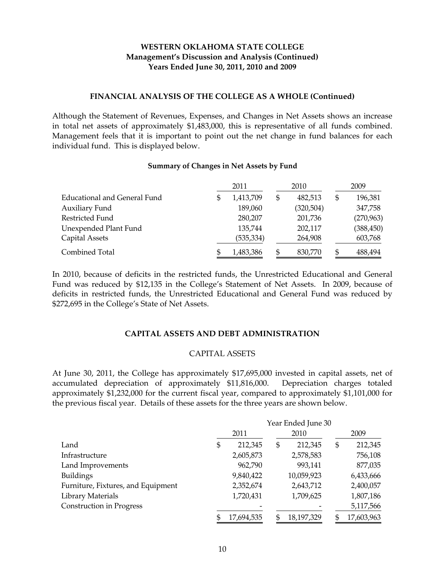#### **FINANCIAL ANALYSIS OF THE COLLEGE AS A WHOLE (Continued)**

Although the Statement of Revenues, Expenses, and Changes in Net Assets shows an increase in total net assets of approximately \$1,483,000, this is representative of all funds combined. Management feels that it is important to point out the net change in fund balances for each individual fund. This is displayed below.

#### **Summary of Changes in Net Assets by Fund**

|                              |   | 2011      | 2010          | 2009 |            |  |
|------------------------------|---|-----------|---------------|------|------------|--|
| Educational and General Fund | S | 1,413,709 | \$<br>482,513 | \$   | 196,381    |  |
| <b>Auxiliary Fund</b>        |   | 189,060   | (320, 504)    |      | 347,758    |  |
| Restricted Fund              |   | 280,207   | 201,736       |      | (270,963)  |  |
| Unexpended Plant Fund        |   | 135,744   | 202,117       |      | (388, 450) |  |
| Capital Assets               |   | (535,334) | 264,908       |      | 603,768    |  |
| Combined Total               | S | 1,483,386 | \$<br>830,770 | \$   | 488,494    |  |

In 2010, because of deficits in the restricted funds, the Unrestricted Educational and General Fund was reduced by \$12,135 in the College's Statement of Net Assets. In 2009, because of deficits in restricted funds, the Unrestricted Educational and General Fund was reduced by \$272,695 in the College's State of Net Assets.

#### **CAPITAL ASSETS AND DEBT ADMINISTRATION**

#### CAPITAL ASSETS

At June 30, 2011, the College has approximately \$17,695,000 invested in capital assets, net of accumulated depreciation of approximately \$11,816,000. Depreciation charges totaled approximately \$1,232,000 for the current fiscal year, compared to approximately \$1,101,000 for the previous fiscal year. Details of these assets for the three years are shown below.

|                                    | Year Ended June 30 |            |    |            |    |            |  |
|------------------------------------|--------------------|------------|----|------------|----|------------|--|
|                                    | 2011               |            |    | 2010       |    | 2009       |  |
| Land                               |                    | 212,345    | \$ | 212,345    | \$ | 212,345    |  |
| Infrastructure                     |                    | 2,605,873  |    | 2,578,583  |    | 756,108    |  |
| Land Improvements                  |                    | 962,790    |    | 993,141    |    | 877,035    |  |
| <b>Buildings</b>                   |                    | 9,840,422  |    | 10,059,923 |    | 6,433,666  |  |
| Furniture, Fixtures, and Equipment |                    | 2,352,674  |    | 2,643,712  |    | 2,400,057  |  |
| Library Materials                  |                    | 1,720,431  |    | 1,709,625  |    | 1,807,186  |  |
| Construction in Progress           |                    |            |    |            |    | 5,117,566  |  |
|                                    |                    | 17,694,535 | \$ | 18,197,329 | \$ | 17,603,963 |  |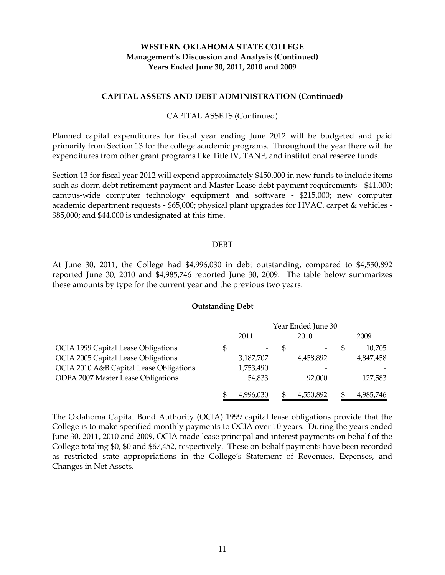#### **CAPITAL ASSETS AND DEBT ADMINISTRATION (Continued)**

#### CAPITAL ASSETS (Continued)

Planned capital expenditures for fiscal year ending June 2012 will be budgeted and paid primarily from Section 13 for the college academic programs. Throughout the year there will be expenditures from other grant programs like Title IV, TANF, and institutional reserve funds.

Section 13 for fiscal year 2012 will expend approximately \$450,000 in new funds to include items such as dorm debt retirement payment and Master Lease debt payment requirements - \$41,000; campus-wide computer technology equipment and software - \$215,000; new computer academic department requests - \$65,000; physical plant upgrades for HVAC, carpet & vehicles - \$85,000; and \$44,000 is undesignated at this time.

#### DEBT

At June 30, 2011, the College had \$4,996,030 in debt outstanding, compared to \$4,550,892 reported June 30, 2010 and \$4,985,746 reported June 30, 2009. The table below summarizes these amounts by type for the current year and the previous two years.

#### **Outstanding Debt**

|                                         |   |           | Year Ended June 30 |  |           |
|-----------------------------------------|---|-----------|--------------------|--|-----------|
|                                         |   | 2011      | 2010               |  | 2009      |
| OCIA 1999 Capital Lease Obligations     | 5 |           |                    |  | 10,705    |
| OCIA 2005 Capital Lease Obligations     |   | 3,187,707 | 4,458,892          |  | 4,847,458 |
| OCIA 2010 A&B Capital Lease Obligations |   | 1,753,490 |                    |  |           |
| ODFA 2007 Master Lease Obligations      |   | 54,833    | 92,000             |  | 127,583   |
|                                         |   | 4,996,030 | 4,550,892          |  | 4,985,746 |

The Oklahoma Capital Bond Authority (OCIA) 1999 capital lease obligations provide that the College is to make specified monthly payments to OCIA over 10 years. During the years ended June 30, 2011, 2010 and 2009, OCIA made lease principal and interest payments on behalf of the College totaling \$0, \$0 and \$67,452, respectively. These on-behalf payments have been recorded as restricted state appropriations in the College's Statement of Revenues, Expenses, and Changes in Net Assets.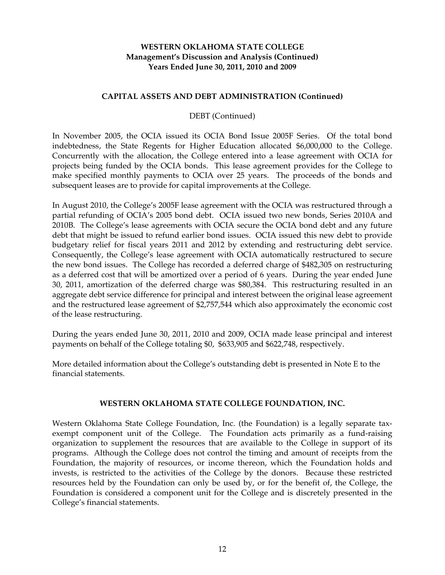#### **CAPITAL ASSETS AND DEBT ADMINISTRATION (Continued)**

#### DEBT (Continued)

In November 2005, the OCIA issued its OCIA Bond Issue 2005F Series. Of the total bond indebtedness, the State Regents for Higher Education allocated \$6,000,000 to the College. Concurrently with the allocation, the College entered into a lease agreement with OCIA for projects being funded by the OCIA bonds. This lease agreement provides for the College to make specified monthly payments to OCIA over 25 years. The proceeds of the bonds and subsequent leases are to provide for capital improvements at the College.

In August 2010, the College's 2005F lease agreement with the OCIA was restructured through a partial refunding of OCIA's 2005 bond debt. OCIA issued two new bonds, Series 2010A and 2010B. The College's lease agreements with OCIA secure the OCIA bond debt and any future debt that might be issued to refund earlier bond issues. OCIA issued this new debt to provide budgetary relief for fiscal years 2011 and 2012 by extending and restructuring debt service. Consequently, the College's lease agreement with OCIA automatically restructured to secure the new bond issues. The College has recorded a deferred charge of \$482,305 on restructuring as a deferred cost that will be amortized over a period of 6 years. During the year ended June 30, 2011, amortization of the deferred charge was \$80,384. This restructuring resulted in an aggregate debt service difference for principal and interest between the original lease agreement and the restructured lease agreement of \$2,757,544 which also approximately the economic cost of the lease restructuring.

During the years ended June 30, 2011, 2010 and 2009, OCIA made lease principal and interest payments on behalf of the College totaling \$0, \$633,905 and \$622,748, respectively.

More detailed information about the College's outstanding debt is presented in Note E to the financial statements.

#### **WESTERN OKLAHOMA STATE COLLEGE FOUNDATION, INC.**

Western Oklahoma State College Foundation, Inc. (the Foundation) is a legally separate taxexempt component unit of the College. The Foundation acts primarily as a fund-raising organization to supplement the resources that are available to the College in support of its programs. Although the College does not control the timing and amount of receipts from the Foundation, the majority of resources, or income thereon, which the Foundation holds and invests, is restricted to the activities of the College by the donors. Because these restricted resources held by the Foundation can only be used by, or for the benefit of, the College, the Foundation is considered a component unit for the College and is discretely presented in the College's financial statements.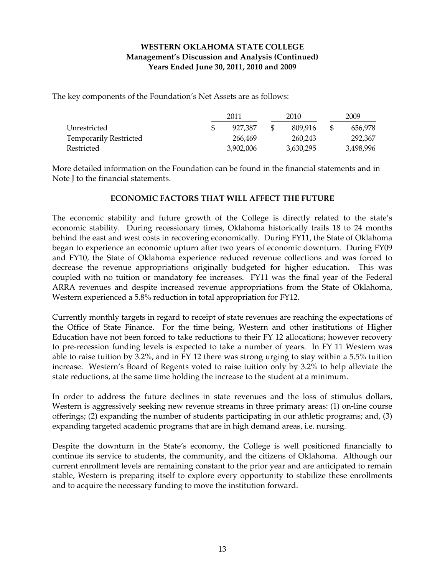The key components of the Foundation's Net Assets are as follows:

|                               | 2011      | 2010      | 2009 |           |  |
|-------------------------------|-----------|-----------|------|-----------|--|
| Unrestricted                  | 927.387   | 809.916   | £.   | 656.978   |  |
| <b>Temporarily Restricted</b> | 266.469   | 260.243   |      | 292.367   |  |
| Restricted                    | 3,902,006 | 3,630,295 |      | 3,498,996 |  |

More detailed information on the Foundation can be found in the financial statements and in Note J to the financial statements.

#### **ECONOMIC FACTORS THAT WILL AFFECT THE FUTURE**

The economic stability and future growth of the College is directly related to the state's economic stability. During recessionary times, Oklahoma historically trails 18 to 24 months behind the east and west costs in recovering economically. During FY11, the State of Oklahoma began to experience an economic upturn after two years of economic downturn. During FY09 and FY10, the State of Oklahoma experience reduced revenue collections and was forced to decrease the revenue appropriations originally budgeted for higher education. This was coupled with no tuition or mandatory fee increases. FY11 was the final year of the Federal ARRA revenues and despite increased revenue appropriations from the State of Oklahoma, Western experienced a 5.8% reduction in total appropriation for FY12.

Currently monthly targets in regard to receipt of state revenues are reaching the expectations of the Office of State Finance. For the time being, Western and other institutions of Higher Education have not been forced to take reductions to their FY 12 allocations; however recovery to pre-recession funding levels is expected to take a number of years. In FY 11 Western was able to raise tuition by 3.2%, and in FY 12 there was strong urging to stay within a 5.5% tuition increase. Western's Board of Regents voted to raise tuition only by 3.2% to help alleviate the state reductions, at the same time holding the increase to the student at a minimum.

In order to address the future declines in state revenues and the loss of stimulus dollars, Western is aggressively seeking new revenue streams in three primary areas: (1) on-line course offerings; (2) expanding the number of students participating in our athletic programs; and, (3) expanding targeted academic programs that are in high demand areas, i.e. nursing.

Despite the downturn in the State's economy, the College is well positioned financially to continue its service to students, the community, and the citizens of Oklahoma. Although our current enrollment levels are remaining constant to the prior year and are anticipated to remain stable, Western is preparing itself to explore every opportunity to stabilize these enrollments and to acquire the necessary funding to move the institution forward.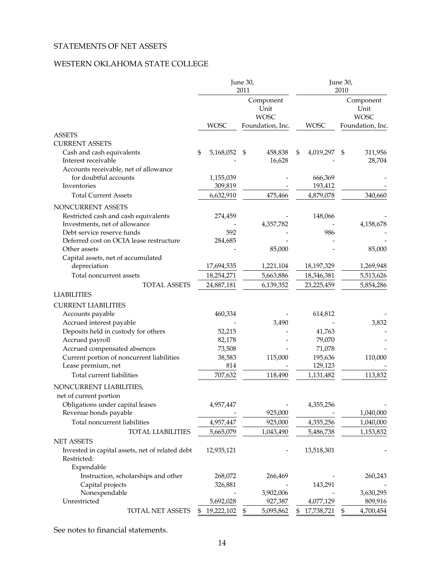### STATEMENTS OF NET ASSETS

### WESTERN OKLAHOMA STATE COLLEGE

|                                                                       |                  | June 30,<br>2011                 |                  | June 30,<br>2010                 |  |  |
|-----------------------------------------------------------------------|------------------|----------------------------------|------------------|----------------------------------|--|--|
|                                                                       |                  | Component<br>Unit<br><b>WOSC</b> |                  | Component<br>Unit<br><b>WOSC</b> |  |  |
|                                                                       | <b>WOSC</b>      | Foundation, Inc.                 | <b>WOSC</b>      | Foundation, Inc.                 |  |  |
| <b>ASSETS</b>                                                         |                  |                                  |                  |                                  |  |  |
| <b>CURRENT ASSETS</b>                                                 |                  |                                  |                  |                                  |  |  |
| Cash and cash equivalents<br>Interest receivable                      | \$<br>5,168,052  | 458,838<br>- \$<br>16,628        | 4,019,297<br>\$  | 311,956<br>\$<br>28,704          |  |  |
| Accounts receivable, net of allowance<br>for doubtful accounts        | 1,155,039        |                                  | 666,369          |                                  |  |  |
| Inventories                                                           | 309,819          |                                  | 193,412          |                                  |  |  |
| <b>Total Current Assets</b>                                           | 6,632,910        | 475,466                          | 4,879,078        | 340,660                          |  |  |
|                                                                       |                  |                                  |                  |                                  |  |  |
| NONCURRENT ASSETS                                                     |                  |                                  |                  |                                  |  |  |
| Restricted cash and cash equivalents<br>Investments, net of allowance | 274,459          | 4,357,782                        | 148,066          | 4,158,678                        |  |  |
| Debt service reserve funds                                            | 592              |                                  | 986              |                                  |  |  |
| Deferred cost on OCIA lease restructure                               | 284,685          |                                  |                  |                                  |  |  |
| Other assets                                                          |                  | 85,000                           |                  | 85,000                           |  |  |
| Capital assets, net of accumulated                                    |                  |                                  |                  |                                  |  |  |
| depreciation                                                          | 17,694,535       | 1,221,104                        | 18,197,329       | 1,269,948                        |  |  |
| Total noncurrent assets                                               | 18,254,271       | 5,663,886                        | 18,346,381       | 5,513,626                        |  |  |
| <b>TOTAL ASSETS</b>                                                   | 24,887,181       | 6,139,352                        | 23,225,459       | 5,854,286                        |  |  |
| <b>LIABILITIES</b>                                                    |                  |                                  |                  |                                  |  |  |
| <b>CURRENT LIABILITIES</b>                                            |                  |                                  |                  |                                  |  |  |
| Accounts payable                                                      | 460,334          |                                  | 614,812          |                                  |  |  |
| Accrued interest payable                                              |                  | 3,490                            |                  | 3,832                            |  |  |
| Deposits held in custody for others                                   | 52,215           |                                  | 41,763           |                                  |  |  |
| Accrued payroll                                                       | 82,178           |                                  | 79,070           |                                  |  |  |
| Accrued compensated absences                                          | 73,508           |                                  | 71,078           |                                  |  |  |
| Current portion of noncurrent liabilities                             | 38,583           | 115,000                          | 195,636          | 110,000                          |  |  |
| Lease premium, net                                                    | 814              |                                  | 129,123          |                                  |  |  |
| Total current liabilities                                             | 707,632          | 118,490                          | 1,131,482        | 113,832                          |  |  |
| NONCURRENT LIABILITIES,                                               |                  |                                  |                  |                                  |  |  |
| net of current portion                                                |                  |                                  |                  |                                  |  |  |
| Obligations under capital leases                                      | 4,957,447        |                                  | 4,355,256        |                                  |  |  |
| Revenue bonds payable                                                 |                  | 925,000                          |                  | 1,040,000                        |  |  |
| Total noncurrent liabilities                                          | 4,957,447        | 925,000                          | 4,355,256        | 1,040,000                        |  |  |
| TOTAL LIABILITIES                                                     | 5,665,079        | 1,043,490                        | 5,486,738        | 1,153,832                        |  |  |
| <b>NET ASSETS</b>                                                     |                  |                                  |                  |                                  |  |  |
| Invested in capital assets, net of related debt<br>Restricted:        | 12,935,121       |                                  | 13,518,301       |                                  |  |  |
| Expendable                                                            |                  |                                  |                  |                                  |  |  |
| Instruction, scholarships and other                                   | 268,072          | 266,469                          |                  | 260,243                          |  |  |
| Capital projects                                                      | 326,881          | 3,902,006                        | 143,291          |                                  |  |  |
| Nonexpendable<br>Unrestricted                                         | 5,692,028        | 927,387                          | 4,077,129        | 3,630,295<br>809,916             |  |  |
| TOTAL NET ASSETS                                                      | 19,222,102<br>\$ | 5,095,862<br>\$                  | 17,738,721<br>\$ | 4,700,454<br>\$                  |  |  |
|                                                                       |                  |                                  |                  |                                  |  |  |

See notes to financial statements.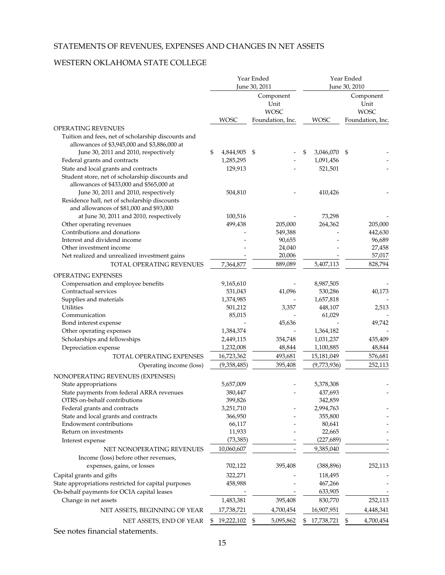### STATEMENTS OF REVENUES, EXPENSES AND CHANGES IN NET ASSETS

#### WESTERN OKLAHOMA STATE COLLEGE

|                                                                                                                                 |                  | Year Ended<br>June 30, 2011      |           |                 | Year Ended<br>June 30, 2010 |                                  |  |
|---------------------------------------------------------------------------------------------------------------------------------|------------------|----------------------------------|-----------|-----------------|-----------------------------|----------------------------------|--|
|                                                                                                                                 |                  | Component<br>Unit<br><b>WOSC</b> |           |                 |                             | Component<br>Unit<br><b>WOSC</b> |  |
|                                                                                                                                 | <b>WOSC</b>      | Foundation, Inc.                 |           | <b>WOSC</b>     |                             | Foundation, Inc.                 |  |
| <b>OPERATING REVENUES</b><br>Tuition and fees, net of scholarship discounts and<br>allowances of \$3,945,000 and \$3,886,000 at |                  |                                  |           |                 |                             |                                  |  |
| June 30, 2011 and 2010, respectively                                                                                            | \$<br>4,844,905  | \$                               |           | \$<br>3,046,070 | - \$                        |                                  |  |
| Federal grants and contracts                                                                                                    | 1,285,295        |                                  |           | 1,091,456       |                             |                                  |  |
| State and local grants and contracts                                                                                            | 129,913          |                                  |           | 521,501         |                             |                                  |  |
| Student store, net of scholarship discounts and<br>allowances of \$433,000 and \$565,000 at                                     |                  |                                  |           |                 |                             |                                  |  |
| June 30, 2011 and 2010, respectively                                                                                            | 504,810          |                                  |           | 410,426         |                             |                                  |  |
| Residence hall, net of scholarship discounts                                                                                    |                  |                                  |           |                 |                             |                                  |  |
| and allowances of \$81,000 and \$93,000                                                                                         |                  |                                  |           |                 |                             |                                  |  |
| at June 30, 2011 and 2010, respectively                                                                                         | 100,516          |                                  |           | 73,298          |                             |                                  |  |
| Other operating revenues                                                                                                        | 499,438          |                                  | 205,000   | 264,362         |                             | 205,000                          |  |
| Contributions and donations                                                                                                     |                  |                                  | 549,388   |                 |                             | 442,630                          |  |
| Interest and dividend income                                                                                                    |                  |                                  | 90,655    |                 |                             | 96,689                           |  |
| Other investment income                                                                                                         |                  |                                  | 24,040    |                 |                             | 27,458                           |  |
| Net realized and unrealized investment gains                                                                                    |                  |                                  | 20,006    |                 |                             | 57,017                           |  |
| TOTAL OPERATING REVENUES                                                                                                        | 7,364,877        |                                  | 889,089   | 5,407,113       |                             | 828,794                          |  |
| OPERATING EXPENSES                                                                                                              |                  |                                  |           |                 |                             |                                  |  |
| Compensation and employee benefits                                                                                              | 9,165,610        |                                  |           | 8,987,505       |                             |                                  |  |
| Contractual services                                                                                                            | 531,043          |                                  | 41,096    | 530,286         |                             | 40,173                           |  |
| Supplies and materials                                                                                                          | 1,374,985        |                                  |           | 1,657,818       |                             |                                  |  |
| Utilities                                                                                                                       | 501,212          |                                  | 3,357     | 448,107         |                             | 2,513                            |  |
| Communication                                                                                                                   | 85,015           |                                  |           | 61,029          |                             |                                  |  |
| Bond interest expense                                                                                                           |                  |                                  | 45,636    |                 |                             | 49,742                           |  |
| Other operating expenses                                                                                                        | 1,384,374        |                                  |           | 1,364,182       |                             |                                  |  |
| Scholarships and fellowships                                                                                                    | 2,449,115        |                                  | 354,748   | 1,031,237       |                             | 435,409                          |  |
| Depreciation expense                                                                                                            | 1,232,008        |                                  | 48,844    | 1,100,885       |                             | 48,844                           |  |
| TOTAL OPERATING EXPENSES                                                                                                        | 16,723,362       |                                  | 493,681   | 15,181,049      |                             | 576,681                          |  |
| Operating income (loss)                                                                                                         | (9,358,485)      |                                  | 395,408   | (9,773,936)     |                             | 252,113                          |  |
| NONOPERATING REVENUES (EXPENSES)                                                                                                |                  |                                  |           |                 |                             |                                  |  |
| State appropriations                                                                                                            | 5,657,009        |                                  |           | 5,378,308       |                             |                                  |  |
| State payments from federal ARRA revenues                                                                                       | 380,447          |                                  |           | 437,693         |                             |                                  |  |
| OTRS on-behalf contributions                                                                                                    | 399,826          |                                  |           | 342,859         |                             |                                  |  |
| Federal grants and contracts                                                                                                    | 3,251,710        |                                  |           | 2,994,763       |                             |                                  |  |
| State and local grants and contracts                                                                                            | 366,950          |                                  |           | 355,800         |                             |                                  |  |
| Endowment contributions                                                                                                         | 66,117           |                                  |           | 80,641          |                             |                                  |  |
| Return on investments                                                                                                           | 11,933           |                                  |           | 22,665          |                             |                                  |  |
| Interest expense                                                                                                                | (73, 385)        |                                  |           | (227, 689)      |                             |                                  |  |
| NET NONOPERATING REVENUES                                                                                                       | 10,060,607       |                                  |           | 9,385,040       |                             |                                  |  |
| Income (loss) before other revenues,                                                                                            |                  |                                  |           |                 |                             |                                  |  |
| expenses, gains, or losses                                                                                                      | 702,122          |                                  | 395,408   | (388, 896)      |                             | 252,113                          |  |
| Capital grants and gifts                                                                                                        | 322,271          |                                  |           | 118,495         |                             |                                  |  |
| State appropriations restricted for capital purposes                                                                            | 458,988          |                                  |           | 467,266         |                             |                                  |  |
| On-behalf payments for OCIA capital leases                                                                                      |                  |                                  |           | 633,905         |                             |                                  |  |
| Change in net assets                                                                                                            | 1,483,381        |                                  | 395,408   | 830,770         |                             | 252,113                          |  |
| NET ASSETS, BEGINNING OF YEAR                                                                                                   | 17,738,721       |                                  | 4,700,454 | 16,907,951      |                             | 4,448,341                        |  |
| NET ASSETS, END OF YEAR                                                                                                         | \$<br>19,222,102 | \$                               | 5,095,862 | 17,738,721      | \$                          | 4,700,454                        |  |

See notes financial statements.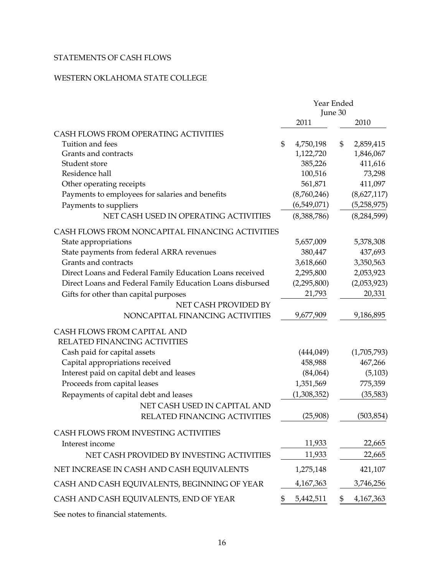### STATEMENTS OF CASH FLOWS

### WESTERN OKLAHOMA STATE COLLEGE

|                                                           | Year Ended<br>June 30 |    |               |  |  |
|-----------------------------------------------------------|-----------------------|----|---------------|--|--|
|                                                           | 2011                  |    | 2010          |  |  |
| CASH FLOWS FROM OPERATING ACTIVITIES                      |                       |    |               |  |  |
| Tuition and fees                                          | \$<br>4,750,198       | \$ | 2,859,415     |  |  |
| Grants and contracts                                      | 1,122,720             |    | 1,846,067     |  |  |
| Student store                                             | 385,226               |    | 411,616       |  |  |
| Residence hall                                            | 100,516               |    | 73,298        |  |  |
| Other operating receipts                                  | 561,871               |    | 411,097       |  |  |
| Payments to employees for salaries and benefits           | (8,760,246)           |    | (8,627,117)   |  |  |
| Payments to suppliers                                     | (6,549,071)           |    | (5,258,975)   |  |  |
| NET CASH USED IN OPERATING ACTIVITIES                     | (8,388,786)           |    | (8, 284, 599) |  |  |
| CASH FLOWS FROM NONCAPITAL FINANCING ACTIVITIES           |                       |    |               |  |  |
| State appropriations                                      | 5,657,009             |    | 5,378,308     |  |  |
| State payments from federal ARRA revenues                 | 380,447               |    | 437,693       |  |  |
| Grants and contracts                                      | 3,618,660             |    | 3,350,563     |  |  |
| Direct Loans and Federal Family Education Loans received  | 2,295,800             |    | 2,053,923     |  |  |
| Direct Loans and Federal Family Education Loans disbursed | (2,295,800)           |    | (2,053,923)   |  |  |
| Gifts for other than capital purposes                     | 21,793                |    | 20,331        |  |  |
| NET CASH PROVIDED BY                                      |                       |    |               |  |  |
| NONCAPITAL FINANCING ACTIVITIES                           | 9,677,909             |    | 9,186,895     |  |  |
| CASH FLOWS FROM CAPITAL AND                               |                       |    |               |  |  |
| RELATED FINANCING ACTIVITIES                              |                       |    |               |  |  |
| Cash paid for capital assets                              | (444, 049)            |    | (1,705,793)   |  |  |
| Capital appropriations received                           | 458,988               |    | 467,266       |  |  |
| Interest paid on capital debt and leases                  | (84,064)              |    | (5, 103)      |  |  |
| Proceeds from capital leases                              | 1,351,569             |    | 775,359       |  |  |
| Repayments of capital debt and leases                     | (1,308,352)           |    | (35, 583)     |  |  |
| NET CASH USED IN CAPITAL AND                              |                       |    |               |  |  |
| RELATED FINANCING ACTIVITIES                              | (25,908)              |    | (503, 854)    |  |  |
| CASH FLOWS FROM INVESTING ACTIVITIES                      |                       |    |               |  |  |
| Interest income                                           | 11,933                |    | 22,665        |  |  |
| NET CASH PROVIDED BY INVESTING ACTIVITIES                 | 11,933                |    | 22,665        |  |  |
| NET INCREASE IN CASH AND CASH EQUIVALENTS                 | 1,275,148             |    | 421,107       |  |  |
| CASH AND CASH EQUIVALENTS, BEGINNING OF YEAR              | 4, 167, 363           |    | 3,746,256     |  |  |
| CASH AND CASH EQUIVALENTS, END OF YEAR                    | \$<br>5,442,511       | \$ | 4,167,363     |  |  |
|                                                           |                       |    |               |  |  |

See notes to financial statements.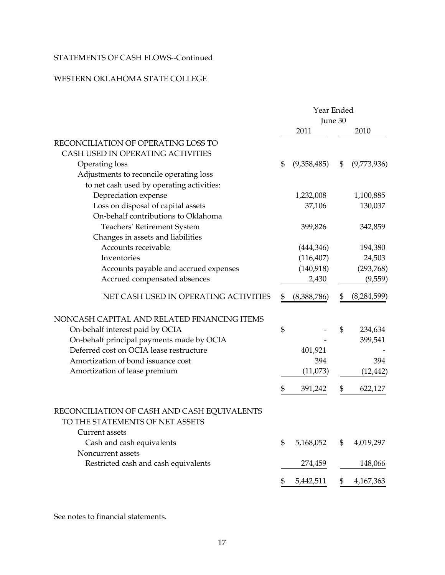### STATEMENTS OF CASH FLOWS--Continued

### WESTERN OKLAHOMA STATE COLLEGE

|                                             | Year Ended     |             |         |               |  |  |
|---------------------------------------------|----------------|-------------|---------|---------------|--|--|
|                                             |                |             | June 30 |               |  |  |
|                                             |                | 2011        |         | 2010          |  |  |
| RECONCILIATION OF OPERATING LOSS TO         |                |             |         |               |  |  |
| CASH USED IN OPERATING ACTIVITIES           |                |             |         |               |  |  |
| Operating loss                              | $\mathfrak{S}$ | (9,358,485) | \$      | (9,773,936)   |  |  |
| Adjustments to reconcile operating loss     |                |             |         |               |  |  |
| to net cash used by operating activities:   |                |             |         |               |  |  |
| Depreciation expense                        |                | 1,232,008   |         | 1,100,885     |  |  |
| Loss on disposal of capital assets          |                | 37,106      |         | 130,037       |  |  |
| On-behalf contributions to Oklahoma         |                |             |         |               |  |  |
| Teachers' Retirement System                 |                | 399,826     |         | 342,859       |  |  |
| Changes in assets and liabilities           |                |             |         |               |  |  |
| Accounts receivable                         |                | (444,346)   |         | 194,380       |  |  |
| Inventories                                 |                | (116, 407)  |         | 24,503        |  |  |
| Accounts payable and accrued expenses       |                | (140,918)   |         | (293,768)     |  |  |
| Accrued compensated absences                |                | 2,430       |         | (9,559)       |  |  |
| NET CASH USED IN OPERATING ACTIVITIES       | \$             | (8,388,786) | \$      | (8, 284, 599) |  |  |
| NONCASH CAPITAL AND RELATED FINANCING ITEMS |                |             |         |               |  |  |
| On-behalf interest paid by OCIA             | \$             |             | \$      | 234,634       |  |  |
| On-behalf principal payments made by OCIA   |                |             |         | 399,541       |  |  |
| Deferred cost on OCIA lease restructure     |                | 401,921     |         |               |  |  |
| Amortization of bond issuance cost          |                | 394         |         | 394           |  |  |
| Amortization of lease premium               |                | (11,073)    |         | (12, 442)     |  |  |
|                                             | \$             | 391,242     | \$      | 622,127       |  |  |
| RECONCILIATION OF CASH AND CASH EQUIVALENTS |                |             |         |               |  |  |
| TO THE STATEMENTS OF NET ASSETS             |                |             |         |               |  |  |
| Current assets                              |                |             |         |               |  |  |
| Cash and cash equivalents                   | \$             | 5,168,052   | \$      | 4,019,297     |  |  |
| Noncurrent assets                           |                |             |         |               |  |  |
| Restricted cash and cash equivalents        |                | 274,459     |         | 148,066       |  |  |
|                                             | \$             | 5,442,511   | \$      | 4,167,363     |  |  |

See notes to financial statements.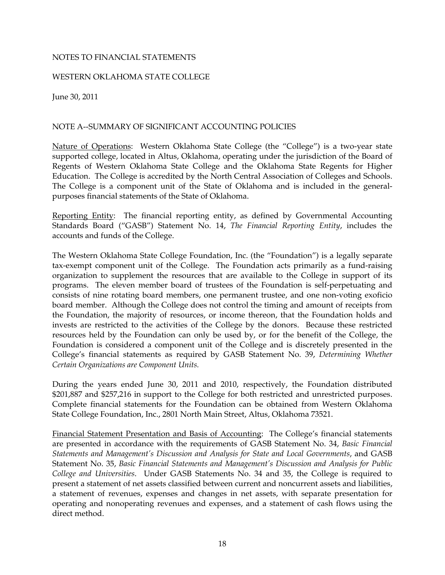#### NOTES TO FINANCIAL STATEMENTS

#### WESTERN OKLAHOMA STATE COLLEGE

June 30, 2011

#### NOTE A--SUMMARY OF SIGNIFICANT ACCOUNTING POLICIES

Nature of Operations: Western Oklahoma State College (the "College") is a two-year state supported college, located in Altus, Oklahoma, operating under the jurisdiction of the Board of Regents of Western Oklahoma State College and the Oklahoma State Regents for Higher Education. The College is accredited by the North Central Association of Colleges and Schools. The College is a component unit of the State of Oklahoma and is included in the generalpurposes financial statements of the State of Oklahoma.

Reporting Entity: The financial reporting entity, as defined by Governmental Accounting Standards Board ("GASB") Statement No. 14, *The Financial Reporting Entity*, includes the accounts and funds of the College.

The Western Oklahoma State College Foundation, Inc. (the "Foundation") is a legally separate tax-exempt component unit of the College. The Foundation acts primarily as a fund-raising organization to supplement the resources that are available to the College in support of its programs. The eleven member board of trustees of the Foundation is self-perpetuating and consists of nine rotating board members, one permanent trustee, and one non-voting exoficio board member. Although the College does not control the timing and amount of receipts from the Foundation, the majority of resources, or income thereon, that the Foundation holds and invests are restricted to the activities of the College by the donors. Because these restricted resources held by the Foundation can only be used by, or for the benefit of the College, the Foundation is considered a component unit of the College and is discretely presented in the College's financial statements as required by GASB Statement No. 39, *Determining Whether Certain Organizations are Component Units.* 

During the years ended June 30, 2011 and 2010, respectively, the Foundation distributed \$201,887 and \$257,216 in support to the College for both restricted and unrestricted purposes. Complete financial statements for the Foundation can be obtained from Western Oklahoma State College Foundation, Inc., 2801 North Main Street, Altus, Oklahoma 73521.

Financial Statement Presentation and Basis of Accounting: The College's financial statements are presented in accordance with the requirements of GASB Statement No. 34, *Basic Financial Statements and Management's Discussion and Analysis for State and Local Governments*, and GASB Statement No. 35, *Basic Financial Statements and Management's Discussion and Analysis for Public College and Universities*. Under GASB Statements No. 34 and 35, the College is required to present a statement of net assets classified between current and noncurrent assets and liabilities, a statement of revenues, expenses and changes in net assets, with separate presentation for operating and nonoperating revenues and expenses, and a statement of cash flows using the direct method.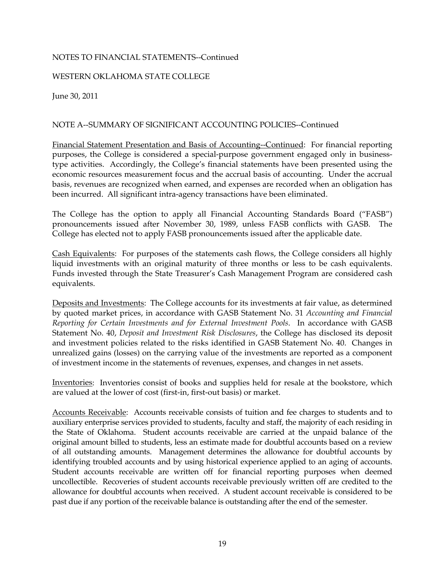#### WESTERN OKLAHOMA STATE COLLEGE

June 30, 2011

#### NOTE A--SUMMARY OF SIGNIFICANT ACCOUNTING POLICIES--Continued

Financial Statement Presentation and Basis of Accounting--Continued: For financial reporting purposes, the College is considered a special-purpose government engaged only in businesstype activities. Accordingly, the College's financial statements have been presented using the economic resources measurement focus and the accrual basis of accounting. Under the accrual basis, revenues are recognized when earned, and expenses are recorded when an obligation has been incurred. All significant intra-agency transactions have been eliminated.

The College has the option to apply all Financial Accounting Standards Board ("FASB") pronouncements issued after November 30, 1989, unless FASB conflicts with GASB. The College has elected not to apply FASB pronouncements issued after the applicable date.

Cash Equivalents: For purposes of the statements cash flows, the College considers all highly liquid investments with an original maturity of three months or less to be cash equivalents. Funds invested through the State Treasurer's Cash Management Program are considered cash equivalents.

Deposits and Investments: The College accounts for its investments at fair value, as determined by quoted market prices, in accordance with GASB Statement No. 31 *Accounting and Financial Reporting for Certain Investments and for External Investment Pools*. In accordance with GASB Statement No. 40, *Deposit and Investment Risk Disclosures*, the College has disclosed its deposit and investment policies related to the risks identified in GASB Statement No. 40. Changes in unrealized gains (losses) on the carrying value of the investments are reported as a component of investment income in the statements of revenues, expenses, and changes in net assets.

Inventories: Inventories consist of books and supplies held for resale at the bookstore, which are valued at the lower of cost (first-in, first-out basis) or market.

Accounts Receivable: Accounts receivable consists of tuition and fee charges to students and to auxiliary enterprise services provided to students, faculty and staff, the majority of each residing in the State of Oklahoma. Student accounts receivable are carried at the unpaid balance of the original amount billed to students, less an estimate made for doubtful accounts based on a review of all outstanding amounts. Management determines the allowance for doubtful accounts by identifying troubled accounts and by using historical experience applied to an aging of accounts. Student accounts receivable are written off for financial reporting purposes when deemed uncollectible. Recoveries of student accounts receivable previously written off are credited to the allowance for doubtful accounts when received. A student account receivable is considered to be past due if any portion of the receivable balance is outstanding after the end of the semester.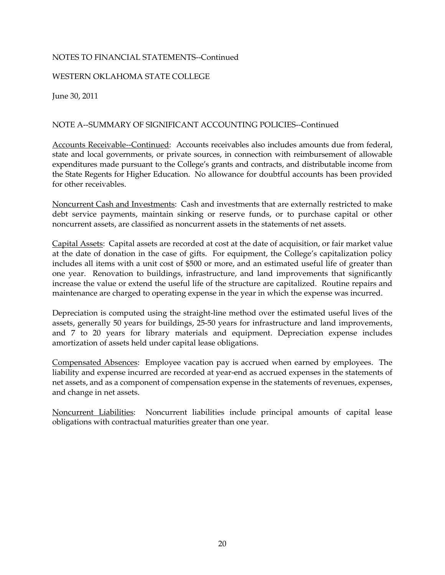#### WESTERN OKLAHOMA STATE COLLEGE

June 30, 2011

### NOTE A--SUMMARY OF SIGNIFICANT ACCOUNTING POLICIES--Continued

Accounts Receivable--Continued: Accounts receivables also includes amounts due from federal, state and local governments, or private sources, in connection with reimbursement of allowable expenditures made pursuant to the College's grants and contracts, and distributable income from the State Regents for Higher Education. No allowance for doubtful accounts has been provided for other receivables.

Noncurrent Cash and Investments: Cash and investments that are externally restricted to make debt service payments, maintain sinking or reserve funds, or to purchase capital or other noncurrent assets, are classified as noncurrent assets in the statements of net assets.

Capital Assets: Capital assets are recorded at cost at the date of acquisition, or fair market value at the date of donation in the case of gifts. For equipment, the College's capitalization policy includes all items with a unit cost of \$500 or more, and an estimated useful life of greater than one year. Renovation to buildings, infrastructure, and land improvements that significantly increase the value or extend the useful life of the structure are capitalized. Routine repairs and maintenance are charged to operating expense in the year in which the expense was incurred.

Depreciation is computed using the straight-line method over the estimated useful lives of the assets, generally 50 years for buildings, 25-50 years for infrastructure and land improvements, and 7 to 20 years for library materials and equipment. Depreciation expense includes amortization of assets held under capital lease obligations.

Compensated Absences: Employee vacation pay is accrued when earned by employees. The liability and expense incurred are recorded at year-end as accrued expenses in the statements of net assets, and as a component of compensation expense in the statements of revenues, expenses, and change in net assets.

Noncurrent Liabilities: Noncurrent liabilities include principal amounts of capital lease obligations with contractual maturities greater than one year.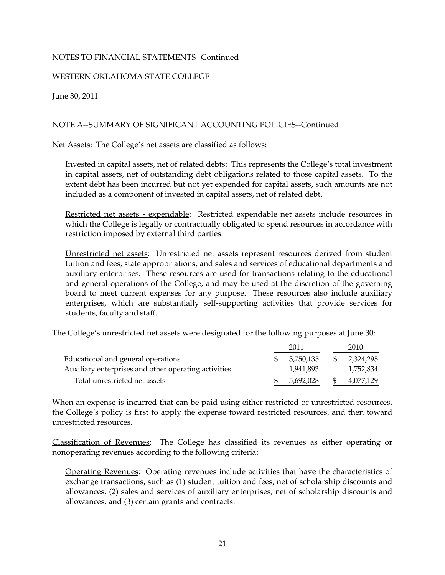#### WESTERN OKLAHOMA STATE COLLEGE

June 30, 2011

#### NOTE A--SUMMARY OF SIGNIFICANT ACCOUNTING POLICIES--Continued

Net Assets: The College's net assets are classified as follows:

Invested in capital assets, net of related debts: This represents the College's total investment in capital assets, net of outstanding debt obligations related to those capital assets. To the extent debt has been incurred but not yet expended for capital assets, such amounts are not included as a component of invested in capital assets, net of related debt.

Restricted net assets - expendable: Restricted expendable net assets include resources in which the College is legally or contractually obligated to spend resources in accordance with restriction imposed by external third parties.

Unrestricted net assets: Unrestricted net assets represent resources derived from student tuition and fees, state appropriations, and sales and services of educational departments and auxiliary enterprises. These resources are used for transactions relating to the educational and general operations of the College, and may be used at the discretion of the governing board to meet current expenses for any purpose. These resources also include auxiliary enterprises, which are substantially self-supporting activities that provide services for students, faculty and staff.

The College's unrestricted net assets were designated for the following purposes at June 30:

|                                                      | 2011      |     | 2010      |
|------------------------------------------------------|-----------|-----|-----------|
| Educational and general operations                   | 3.750.135 | -SS | 2,324,295 |
| Auxiliary enterprises and other operating activities | 1,941,893 |     | 1,752,834 |
| Total unrestricted net assets                        | 5.692.028 |     | 4,077,129 |

When an expense is incurred that can be paid using either restricted or unrestricted resources, the College's policy is first to apply the expense toward restricted resources, and then toward unrestricted resources.

Classification of Revenues: The College has classified its revenues as either operating or nonoperating revenues according to the following criteria:

Operating Revenues: Operating revenues include activities that have the characteristics of exchange transactions, such as (1) student tuition and fees, net of scholarship discounts and allowances, (2) sales and services of auxiliary enterprises, net of scholarship discounts and allowances, and (3) certain grants and contracts.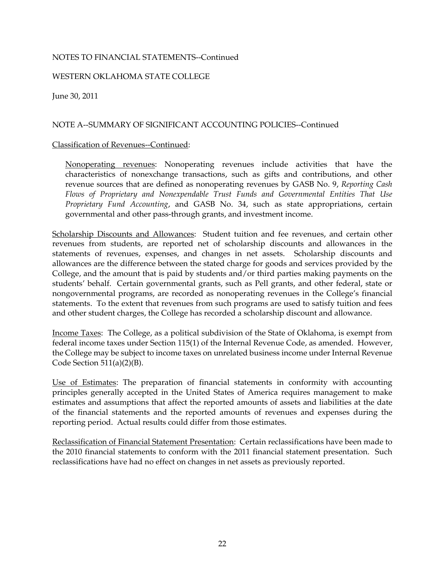#### WESTERN OKLAHOMA STATE COLLEGE

June 30, 2011

#### NOTE A--SUMMARY OF SIGNIFICANT ACCOUNTING POLICIES--Continued

#### Classification of Revenues--Continued:

Nonoperating revenues: Nonoperating revenues include activities that have the characteristics of nonexchange transactions, such as gifts and contributions, and other revenue sources that are defined as nonoperating revenues by GASB No. 9, *Reporting Cash Flows of Proprietary and Nonexpendable Trust Funds and Governmental Entities That Use Proprietary Fund Accounting*, and GASB No. 34, such as state appropriations, certain governmental and other pass-through grants, and investment income.

Scholarship Discounts and Allowances: Student tuition and fee revenues, and certain other revenues from students, are reported net of scholarship discounts and allowances in the statements of revenues, expenses, and changes in net assets. Scholarship discounts and allowances are the difference between the stated charge for goods and services provided by the College, and the amount that is paid by students and/or third parties making payments on the students' behalf. Certain governmental grants, such as Pell grants, and other federal, state or nongovernmental programs, are recorded as nonoperating revenues in the College's financial statements. To the extent that revenues from such programs are used to satisfy tuition and fees and other student charges, the College has recorded a scholarship discount and allowance.

Income Taxes: The College, as a political subdivision of the State of Oklahoma, is exempt from federal income taxes under Section 115(1) of the Internal Revenue Code, as amended. However, the College may be subject to income taxes on unrelated business income under Internal Revenue Code Section 511(a)(2)(B).

Use of Estimates: The preparation of financial statements in conformity with accounting principles generally accepted in the United States of America requires management to make estimates and assumptions that affect the reported amounts of assets and liabilities at the date of the financial statements and the reported amounts of revenues and expenses during the reporting period. Actual results could differ from those estimates.

Reclassification of Financial Statement Presentation: Certain reclassifications have been made to the 2010 financial statements to conform with the 2011 financial statement presentation. Such reclassifications have had no effect on changes in net assets as previously reported.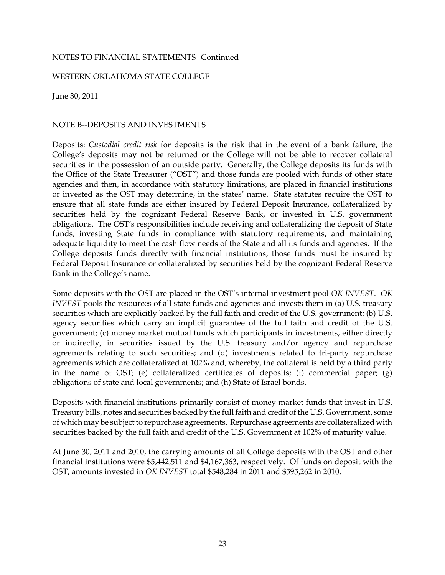#### WESTERN OKLAHOMA STATE COLLEGE

June 30, 2011

#### NOTE B--DEPOSITS AND INVESTMENTS

Deposits: *Custodial credit risk* for deposits is the risk that in the event of a bank failure, the College's deposits may not be returned or the College will not be able to recover collateral securities in the possession of an outside party. Generally, the College deposits its funds with the Office of the State Treasurer ("OST") and those funds are pooled with funds of other state agencies and then, in accordance with statutory limitations, are placed in financial institutions or invested as the OST may determine, in the states' name. State statutes require the OST to ensure that all state funds are either insured by Federal Deposit Insurance, collateralized by securities held by the cognizant Federal Reserve Bank, or invested in U.S. government obligations. The OST's responsibilities include receiving and collateralizing the deposit of State funds, investing State funds in compliance with statutory requirements, and maintaining adequate liquidity to meet the cash flow needs of the State and all its funds and agencies. If the College deposits funds directly with financial institutions, those funds must be insured by Federal Deposit Insurance or collateralized by securities held by the cognizant Federal Reserve Bank in the College's name.

Some deposits with the OST are placed in the OST's internal investment pool *OK INVEST*. *OK INVEST* pools the resources of all state funds and agencies and invests them in (a) U.S. treasury securities which are explicitly backed by the full faith and credit of the U.S. government; (b) U.S. agency securities which carry an implicit guarantee of the full faith and credit of the U.S. government; (c) money market mutual funds which participants in investments, either directly or indirectly, in securities issued by the U.S. treasury and/or agency and repurchase agreements relating to such securities; and (d) investments related to tri-party repurchase agreements which are collateralized at 102% and, whereby, the collateral is held by a third party in the name of OST; (e) collateralized certificates of deposits; (f) commercial paper; (g) obligations of state and local governments; and (h) State of Israel bonds.

Deposits with financial institutions primarily consist of money market funds that invest in U.S. Treasury bills, notes and securities backed by the full faith and credit of the U.S. Government, some of which may be subject to repurchase agreements. Repurchase agreements are collateralized with securities backed by the full faith and credit of the U.S. Government at 102% of maturity value.

At June 30, 2011 and 2010, the carrying amounts of all College deposits with the OST and other financial institutions were \$5,442,511 and \$4,167,363, respectively. Of funds on deposit with the OST, amounts invested in *OK INVEST* total \$548,284 in 2011 and \$595,262 in 2010.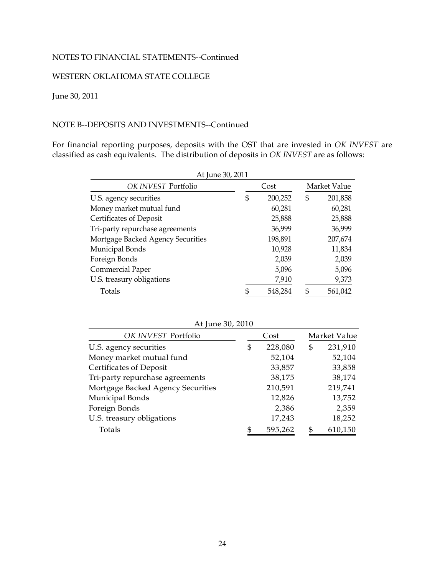### WESTERN OKLAHOMA STATE COLLEGE

### June 30, 2011

#### NOTE B--DEPOSITS AND INVESTMENTS--Continued

For financial reporting purposes, deposits with the OST that are invested in *OK INVEST* are classified as cash equivalents. The distribution of deposits in *OK INVEST* are as follows:

| At June 30, 2011                  |               |  |              |
|-----------------------------------|---------------|--|--------------|
| OK INVEST Portfolio               | Cost          |  | Market Value |
| U.S. agency securities            | \$<br>200,252 |  | 201,858      |
| Money market mutual fund          | 60,281        |  | 60,281       |
| Certificates of Deposit           | 25,888        |  | 25,888       |
| Tri-party repurchase agreements   | 36,999        |  | 36,999       |
| Mortgage Backed Agency Securities | 198,891       |  | 207,674      |
| Municipal Bonds                   | 10,928        |  | 11,834       |
| Foreign Bonds                     | 2,039         |  | 2,039        |
| Commercial Paper                  | 5,096         |  | 5,096        |
| U.S. treasury obligations         | 7,910         |  | 9,373        |
| Totals                            | 548,284       |  | 561,042      |

| At June 30, 2010                  |   |         |               |
|-----------------------------------|---|---------|---------------|
| OK INVEST Portfolio               |   | Cost    | Market Value  |
| U.S. agency securities            | S | 228,080 | \$<br>231,910 |
| Money market mutual fund          |   | 52,104  | 52,104        |
| Certificates of Deposit           |   | 33,857  | 33,858        |
| Tri-party repurchase agreements   |   | 38,175  | 38,174        |
| Mortgage Backed Agency Securities |   | 210,591 | 219,741       |
| Municipal Bonds                   |   | 12,826  | 13,752        |
| Foreign Bonds                     |   | 2,386   | 2,359         |
| U.S. treasury obligations         |   | 17,243  | 18,252        |
| Totals                            |   | 595,262 | 610,150       |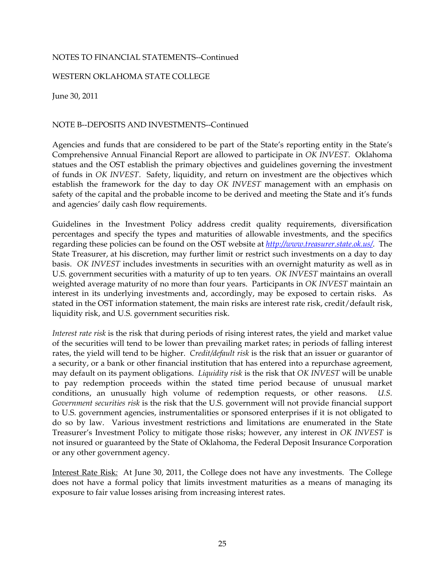#### WESTERN OKLAHOMA STATE COLLEGE

June 30, 2011

#### NOTE B--DEPOSITS AND INVESTMENTS--Continued

Agencies and funds that are considered to be part of the State's reporting entity in the State's Comprehensive Annual Financial Report are allowed to participate in *OK INVEST*. Oklahoma statues and the OST establish the primary objectives and guidelines governing the investment of funds in *OK INVEST*. Safety, liquidity, and return on investment are the objectives which establish the framework for the day to day *OK INVEST* management with an emphasis on safety of the capital and the probable income to be derived and meeting the State and it's funds and agencies' daily cash flow requirements.

Guidelines in the Investment Policy address credit quality requirements, diversification percentages and specify the types and maturities of allowable investments, and the specifics regarding these policies can be found on the OST website at *http://www.treasurer.state.ok.us/*. The State Treasurer, at his discretion, may further limit or restrict such investments on a day to day basis. *OK INVEST* includes investments in securities with an overnight maturity as well as in U.S. government securities with a maturity of up to ten years. *OK INVEST* maintains an overall weighted average maturity of no more than four years. Participants in *OK INVEST* maintain an interest in its underlying investments and, accordingly, may be exposed to certain risks. As stated in the OST information statement, the main risks are interest rate risk, credit/default risk, liquidity risk, and U.S. government securities risk.

*Interest rate risk* is the risk that during periods of rising interest rates, the yield and market value of the securities will tend to be lower than prevailing market rates; in periods of falling interest rates, the yield will tend to be higher. *Credit/default risk* is the risk that an issuer or guarantor of a security, or a bank or other financial institution that has entered into a repurchase agreement, may default on its payment obligations. *Liquidity risk* is the risk that *OK INVEST* will be unable to pay redemption proceeds within the stated time period because of unusual market conditions, an unusually high volume of redemption requests, or other reasons. *U.S. Government securities risk* is the risk that the U.S. government will not provide financial support to U.S. government agencies, instrumentalities or sponsored enterprises if it is not obligated to do so by law. Various investment restrictions and limitations are enumerated in the State Treasurer's Investment Policy to mitigate those risks; however, any interest in *OK INVEST* is not insured or guaranteed by the State of Oklahoma, the Federal Deposit Insurance Corporation or any other government agency.

Interest Rate Risk*:* At June 30, 2011, the College does not have any investments. The College does not have a formal policy that limits investment maturities as a means of managing its exposure to fair value losses arising from increasing interest rates.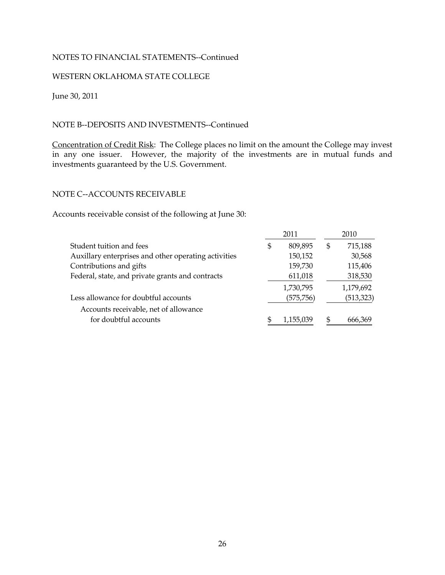#### WESTERN OKLAHOMA STATE COLLEGE

June 30, 2011

#### NOTE B--DEPOSITS AND INVESTMENTS--Continued

Concentration of Credit Risk: The College places no limit on the amount the College may invest in any one issuer. However, the majority of the investments are in mutual funds and investments guaranteed by the U.S. Government.

### NOTE C--ACCOUNTS RECEIVABLE

Accounts receivable consist of the following at June 30:

|                                                      | 2011          | 2010          |
|------------------------------------------------------|---------------|---------------|
| Student tuition and fees                             | \$<br>809,895 | \$<br>715,188 |
| Auxillary enterprises and other operating activities | 150,152       | 30,568        |
| Contributions and gifts                              | 159,730       | 115,406       |
| Federal, state, and private grants and contracts     | 611,018       | 318,530       |
|                                                      | 1,730,795     | 1,179,692     |
| Less allowance for doubtful accounts                 | (575, 756)    | (513, 323)    |
| Accounts receivable, net of allowance                |               |               |
| for doubtful accounts                                | 1,155,039     | 666.369       |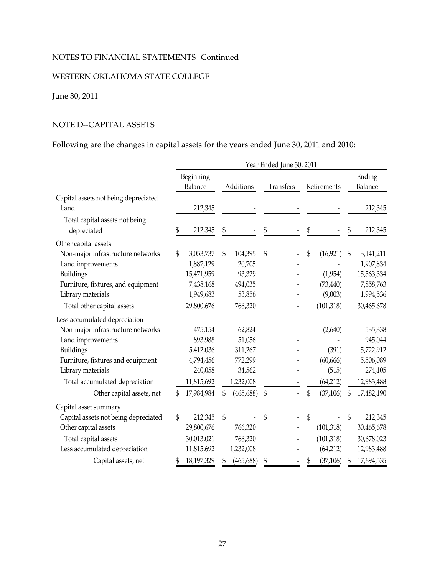### WESTERN OKLAHOMA STATE COLLEGE

### June 30, 2011

### NOTE D--CAPITAL ASSETS

### Following are the changes in capital assets for the years ended June 30, 2011 and 2010:

|                                      | Year Ended June 30, 2011 |            |           |            |           |                          |             |            |        |            |  |  |
|--------------------------------------|--------------------------|------------|-----------|------------|-----------|--------------------------|-------------|------------|--------|------------|--|--|
|                                      |                          | Beginning  |           |            |           |                          |             |            | Ending |            |  |  |
|                                      | Balance                  |            | Additions |            | Transfers |                          | Retirements |            |        | Balance    |  |  |
| Capital assets not being depreciated |                          |            |           |            |           |                          |             |            |        |            |  |  |
| Land                                 |                          | 212,345    |           |            |           |                          |             |            |        | 212,345    |  |  |
| Total capital assets not being       |                          |            |           |            |           |                          |             |            |        |            |  |  |
| depreciated                          | \$                       | 212,345    | \$        |            | \$        |                          | \$          |            |        | 212,345    |  |  |
| Other capital assets                 |                          |            |           |            |           |                          |             |            |        |            |  |  |
| Non-major infrastructure networks    | \$                       | 3,053,737  | \$        | 104,395    | \$        |                          | \$          | (16, 921)  | \$     | 3,141,211  |  |  |
| Land improvements                    |                          | 1,887,129  |           | 20,705     |           |                          |             |            |        | 1,907,834  |  |  |
| Buildings                            |                          | 15,471,959 |           | 93,329     |           |                          |             | (1,954)    |        | 15,563,334 |  |  |
| Furniture, fixtures, and equipment   |                          | 7,438,168  |           | 494,035    |           |                          |             | (73, 440)  |        | 7,858,763  |  |  |
| Library materials                    |                          | 1,949,683  |           | 53,856     |           |                          |             | (9,003)    |        | 1,994,536  |  |  |
| Total other capital assets           |                          | 29,800,676 |           | 766,320    |           |                          |             | (101, 318) |        | 30,465,678 |  |  |
| Less accumulated depreciation        |                          |            |           |            |           |                          |             |            |        |            |  |  |
| Non-major infrastructure networks    |                          | 475,154    |           | 62,824     |           |                          |             | (2,640)    |        | 535,338    |  |  |
| Land improvements                    |                          | 893,988    |           | 51,056     |           |                          |             |            |        | 945,044    |  |  |
| <b>Buildings</b>                     |                          | 5,412,036  |           | 311,267    |           |                          |             | (391)      |        | 5,722,912  |  |  |
| Furniture, fixtures and equipment    |                          | 4,794,456  |           | 772,299    |           |                          |             | (60, 666)  |        | 5,506,089  |  |  |
| Library materials                    |                          | 240,058    |           | 34,562     |           |                          |             | (515)      |        | 274,105    |  |  |
| Total accumulated depreciation       |                          | 11,815,692 |           | 1,232,008  |           |                          |             | (64,212)   |        | 12,983,488 |  |  |
| Other capital assets, net            | \$                       | 17,984,984 |           | (465, 688) | \$        |                          | \$          | (37, 106)  |        | 17,482,190 |  |  |
| Capital asset summary                |                          |            |           |            |           |                          |             |            |        |            |  |  |
| Capital assets not being depreciated | \$                       | 212,345    | \$        |            | \$        |                          | \$          |            | \$     | 212,345    |  |  |
| Other capital assets                 |                          | 29,800,676 |           | 766,320    |           |                          |             | (101, 318) |        | 30,465,678 |  |  |
| Total capital assets                 |                          | 30,013,021 |           | 766,320    |           |                          |             | (101, 318) |        | 30,678,023 |  |  |
| Less accumulated depreciation        |                          | 11,815,692 |           | 1,232,008  |           |                          |             | (64, 212)  |        | 12,983,488 |  |  |
| Capital assets, net                  | \$                       | 18,197,329 | \$        | (465, 688) | \$        | $\overline{\phantom{a}}$ | \$          | (37, 106)  | \$     | 17,694,535 |  |  |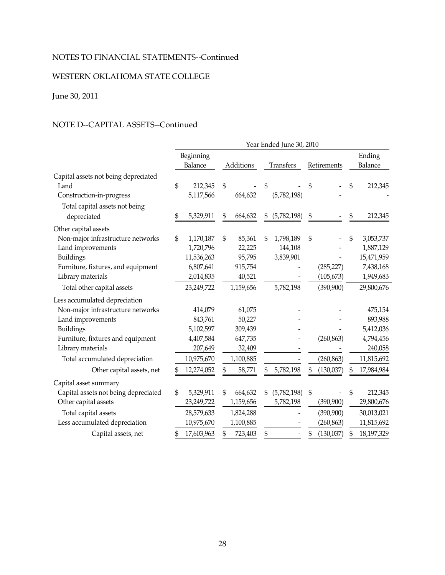### WESTERN OKLAHOMA STATE COLLEGE

### June 30, 2011

### NOTE D--CAPITAL ASSETS--Continued

|                                      | Year Ended June 30, 2010 |            |    |           |    |             |             |            |              |            |  |  |
|--------------------------------------|--------------------------|------------|----|-----------|----|-------------|-------------|------------|--------------|------------|--|--|
|                                      |                          | Beginning  |    |           |    |             |             |            |              | Ending     |  |  |
|                                      |                          | Balance    |    | Additions |    | Transfers   | Retirements |            |              | Balance    |  |  |
| Capital assets not being depreciated |                          |            |    |           |    |             |             |            |              |            |  |  |
| Land                                 | \$                       | 212,345    | \$ |           | \$ |             | \$          |            | $\mathbb{S}$ | 212,345    |  |  |
| Construction-in-progress             |                          | 5,117,566  |    | 664,632   |    | (5,782,198) |             |            |              |            |  |  |
| Total capital assets not being       |                          |            |    |           |    |             |             |            |              |            |  |  |
| depreciated                          |                          | 5,329,911  | S  | 664,632   | \$ | (5,782,198) | \$          |            | \$           | 212,345    |  |  |
| Other capital assets                 |                          |            |    |           |    |             |             |            |              |            |  |  |
| Non-major infrastructure networks    | \$                       | 1,170,187  | \$ | 85,361    | \$ | 1,798,189   | \$          |            | \$           | 3,053,737  |  |  |
| Land improvements                    |                          | 1,720,796  |    | 22,225    |    | 144,108     |             |            |              | 1,887,129  |  |  |
| Buildings                            |                          | 11,536,263 |    | 95,795    |    | 3,839,901   |             |            |              | 15,471,959 |  |  |
| Furniture, fixtures, and equipment   |                          | 6,807,641  |    | 915,754   |    |             |             | (285, 227) |              | 7,438,168  |  |  |
| Library materials                    |                          | 2,014,835  |    | 40,521    |    |             |             | (105, 673) |              | 1,949,683  |  |  |
| Total other capital assets           |                          | 23,249,722 |    | 1,159,656 |    | 5,782,198   |             | (390, 900) |              | 29,800,676 |  |  |
| Less accumulated depreciation        |                          |            |    |           |    |             |             |            |              |            |  |  |
| Non-major infrastructure networks    |                          | 414,079    |    | 61,075    |    |             |             |            |              | 475,154    |  |  |
| Land improvements                    |                          | 843,761    |    | 50,227    |    |             |             |            |              | 893,988    |  |  |
| Buildings                            |                          | 5,102,597  |    | 309,439   |    |             |             |            |              | 5,412,036  |  |  |
| Furniture, fixtures and equipment    |                          | 4,407,584  |    | 647,735   |    |             |             | (260, 863) |              | 4,794,456  |  |  |
| Library materials                    |                          | 207,649    |    | 32,409    |    |             |             |            |              | 240,058    |  |  |
| Total accumulated depreciation       |                          | 10,975,670 |    | 1,100,885 |    |             |             | (260, 863) |              | 11,815,692 |  |  |
| Other capital assets, net            |                          | 12,274,052 |    | 58,771    | \$ | 5,782,198   | \$          | (130, 037) | \$           | 17,984,984 |  |  |
| Capital asset summary                |                          |            |    |           |    |             |             |            |              |            |  |  |
| Capital assets not being depreciated | \$                       | 5,329,911  | \$ | 664,632   |    | (5,782,198) | \$          |            | \$           | 212,345    |  |  |
| Other capital assets                 |                          | 23,249,722 |    | 1,159,656 |    | 5,782,198   |             | (390, 900) |              | 29,800,676 |  |  |
| Total capital assets                 |                          | 28,579,633 |    | 1,824,288 |    |             |             | (390, 900) |              | 30,013,021 |  |  |
| Less accumulated depreciation        |                          | 10,975,670 |    | 1,100,885 |    |             |             | (260, 863) |              | 11,815,692 |  |  |
| Capital assets, net                  | \$                       | 17,603,963 |    | 723,403   | \$ |             | \$          | (130, 037) | \$           | 18,197,329 |  |  |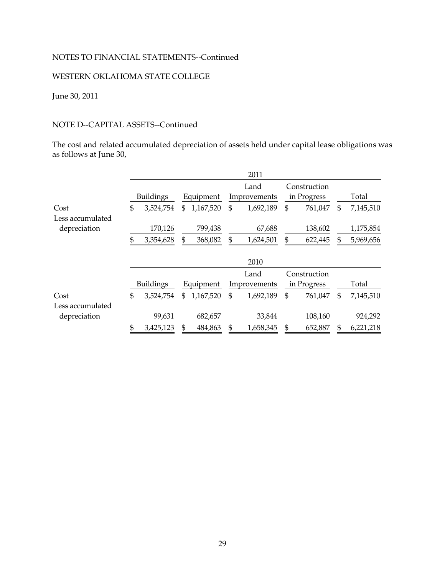### WESTERN OKLAHOMA STATE COLLEGE

### June 30, 2011

### NOTE D--CAPITAL ASSETS--Continued

The cost and related accumulated depreciation of assets held under capital lease obligations was as follows at June 30,

|                  |                  |                |           | 2011            |    |              |    |           |
|------------------|------------------|----------------|-----------|-----------------|----|--------------|----|-----------|
|                  |                  |                |           | Land            |    | Construction |    |           |
|                  | <b>Buildings</b> | Equipment      |           | Improvements    |    | in Progress  |    | Total     |
| Cost             | \$<br>3,524,754  | \$             | 1,167,520 | \$<br>1,692,189 | \$ | 761,047      | \$ | 7,145,510 |
| Less accumulated |                  |                |           |                 |    |              |    |           |
| depreciation     | 170,126          |                | 799,438   | 67,688          |    | 138,602      |    | 1,175,854 |
|                  | \$<br>3,354,628  | \$             | 368,082   | \$<br>1,624,501 | \$ | 622,445      | \$ | 5,969,656 |
|                  |                  |                |           | 2010            |    |              |    |           |
|                  |                  |                |           | Land            |    | Construction |    |           |
|                  | <b>Buildings</b> |                | Equipment | Improvements    |    | in Progress  |    | Total     |
| Cost             | \$<br>3,524,754  | $\mathfrak{L}$ | 1,167,520 | \$<br>1,692,189 | \$ | 761,047      | S  | 7,145,510 |
| Less accumulated |                  |                |           |                 |    |              |    |           |
| depreciation     | 99,631           |                | 682,657   | 33,844          |    | 108,160      |    | 924,292   |
|                  | \$<br>3,425,123  | \$             | 484,863   | \$<br>1,658,345 | S  | 652,887      |    | 6,221,218 |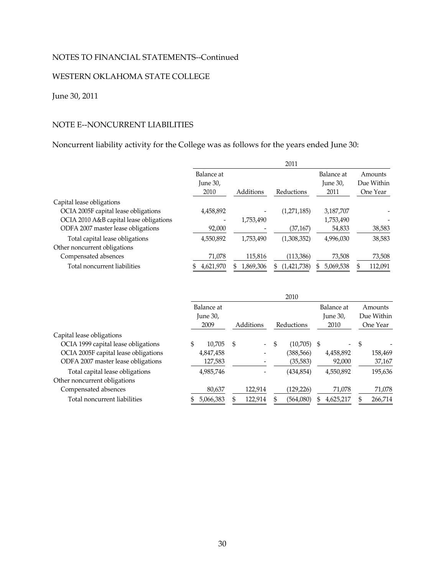### WESTERN OKLAHOMA STATE COLLEGE

### June 30, 2011

### NOTE E--NONCURRENT LIABILITIES

### Noncurrent liability activity for the College was as follows for the years ended June 30:

|                                         |                        |           | 2011        |                        |                       |
|-----------------------------------------|------------------------|-----------|-------------|------------------------|-----------------------|
|                                         | Balance at<br>June 30, |           |             | Balance at<br>June 30, | Amounts<br>Due Within |
|                                         | 2010                   | Additions | Reductions  | 2011                   | One Year              |
| Capital lease obligations               |                        |           |             |                        |                       |
| OCIA 2005F capital lease obligations    | 4,458,892              |           | (1,271,185) | 3,187,707              |                       |
| OCIA 2010 A&B capital lease obligations |                        | 1,753,490 |             | 1,753,490              |                       |
| ODFA 2007 master lease obligations      | 92,000                 |           | (37, 167)   | 54,833                 | 38,583                |
| Total capital lease obligations         | 4,550,892              | 1,753,490 | (1,308,352) | 4,996,030              | 38,583                |
| Other noncurrent obligations            |                        |           |             |                        |                       |
| Compensated absences                    | 71,078                 | 115,816   | (113,386)   | 73,508                 | 73,508                |
| Total noncurrent liabilities            | 4,621,970              | 1,869,306 | (1,421,738) | 5,069,538              | 112,091               |

|                                      |                                |           |      |                          |            | 2010       |    |                                |                                   |         |
|--------------------------------------|--------------------------------|-----------|------|--------------------------|------------|------------|----|--------------------------------|-----------------------------------|---------|
|                                      | Balance at<br>June 30,<br>2009 |           |      | Additions                | Reductions |            |    | Balance at<br>June 30,<br>2010 | Amounts<br>Due Within<br>One Year |         |
| Capital lease obligations            |                                |           |      |                          |            |            |    |                                |                                   |         |
| OCIA 1999 capital lease obligations  | \$                             | 10.705    | - \$ | $\overline{\phantom{0}}$ | \$         | (10.705)   | -S | $\overline{\phantom{0}}$       | -\$                               |         |
| OCIA 2005F capital lease obligations |                                | 4,847,458 |      |                          |            | (388, 566) |    | 4,458,892                      |                                   | 158,469 |
| ODFA 2007 master lease obligations   |                                | 127,583   |      |                          |            | (35, 583)  |    | 92,000                         |                                   | 37,167  |
| Total capital lease obligations      |                                | 4,985,746 |      |                          |            | (434, 854) |    | 4,550,892                      |                                   | 195,636 |
| Other noncurrent obligations         |                                |           |      |                          |            |            |    |                                |                                   |         |
| Compensated absences                 |                                | 80,637    |      | 122,914                  |            | (129, 226) |    | 71,078                         |                                   | 71,078  |
| Total noncurrent liabilities         |                                | 5,066,383 |      | 122,914                  |            | (564,080)  | S  | 4,625,217                      |                                   | 266,714 |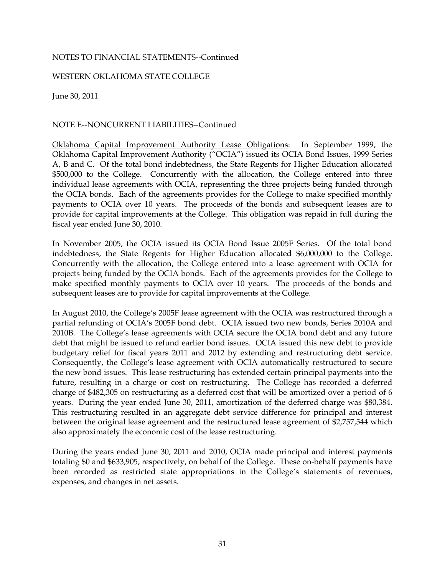#### WESTERN OKLAHOMA STATE COLLEGE

June 30, 2011

#### NOTE E--NONCURRENT LIABILITIES--Continued

Oklahoma Capital Improvement Authority Lease Obligations: In September 1999, the Oklahoma Capital Improvement Authority ("OCIA") issued its OCIA Bond Issues, 1999 Series A, B and C. Of the total bond indebtedness, the State Regents for Higher Education allocated \$500,000 to the College. Concurrently with the allocation, the College entered into three individual lease agreements with OCIA, representing the three projects being funded through the OCIA bonds. Each of the agreements provides for the College to make specified monthly payments to OCIA over 10 years. The proceeds of the bonds and subsequent leases are to provide for capital improvements at the College. This obligation was repaid in full during the fiscal year ended June 30, 2010.

In November 2005, the OCIA issued its OCIA Bond Issue 2005F Series. Of the total bond indebtedness, the State Regents for Higher Education allocated \$6,000,000 to the College. Concurrently with the allocation, the College entered into a lease agreement with OCIA for projects being funded by the OCIA bonds. Each of the agreements provides for the College to make specified monthly payments to OCIA over 10 years. The proceeds of the bonds and subsequent leases are to provide for capital improvements at the College.

In August 2010, the College's 2005F lease agreement with the OCIA was restructured through a partial refunding of OCIA's 2005F bond debt. OCIA issued two new bonds, Series 2010A and 2010B. The College's lease agreements with OCIA secure the OCIA bond debt and any future debt that might be issued to refund earlier bond issues. OCIA issued this new debt to provide budgetary relief for fiscal years 2011 and 2012 by extending and restructuring debt service. Consequently, the College's lease agreement with OCIA automatically restructured to secure the new bond issues. This lease restructuring has extended certain principal payments into the future, resulting in a charge or cost on restructuring. The College has recorded a deferred charge of \$482,305 on restructuring as a deferred cost that will be amortized over a period of 6 years. During the year ended June 30, 2011, amortization of the deferred charge was \$80,384. This restructuring resulted in an aggregate debt service difference for principal and interest between the original lease agreement and the restructured lease agreement of \$2,757,544 which also approximately the economic cost of the lease restructuring.

During the years ended June 30, 2011 and 2010, OCIA made principal and interest payments totaling \$0 and \$633,905, respectively, on behalf of the College. These on-behalf payments have been recorded as restricted state appropriations in the College's statements of revenues, expenses, and changes in net assets.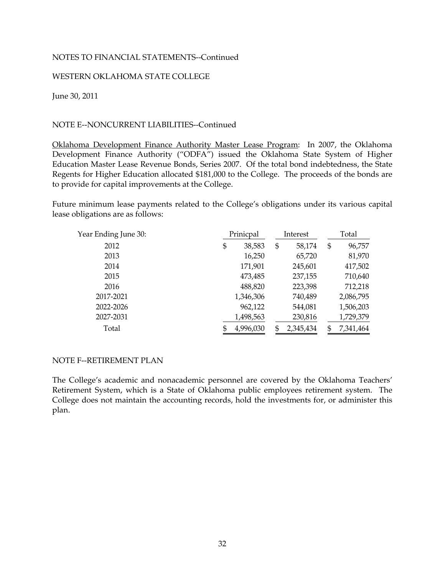#### WESTERN OKLAHOMA STATE COLLEGE

June 30, 2011

#### NOTE E--NONCURRENT LIABILITIES--Continued

Oklahoma Development Finance Authority Master Lease Program: In 2007, the Oklahoma Development Finance Authority ("ODFA") issued the Oklahoma State System of Higher Education Master Lease Revenue Bonds, Series 2007. Of the total bond indebtedness, the State Regents for Higher Education allocated \$181,000 to the College. The proceeds of the bonds are to provide for capital improvements at the College.

Future minimum lease payments related to the College's obligations under its various capital lease obligations are as follows:

| Year Ending June 30: | Prinicpal<br>Interest |    | Total     |                 |
|----------------------|-----------------------|----|-----------|-----------------|
| 2012                 | \$<br>38,583          | \$ | 58,174    | \$<br>96,757    |
| 2013                 | 16,250                |    | 65,720    | 81,970          |
| 2014                 | 171,901               |    | 245,601   | 417,502         |
| 2015                 | 473,485               |    | 237,155   | 710,640         |
| 2016                 | 488,820               |    | 223,398   | 712,218         |
| 2017-2021            | 1,346,306             |    | 740,489   | 2,086,795       |
| 2022-2026            | 962,122               |    | 544,081   | 1,506,203       |
| 2027-2031            | 1,498,563             |    | 230,816   | 1,729,379       |
| Total                | 4,996,030<br>\$       | \$ | 2,345,434 | \$<br>7,341,464 |

#### NOTE F--RETIREMENT PLAN

The College's academic and nonacademic personnel are covered by the Oklahoma Teachers' Retirement System, which is a State of Oklahoma public employees retirement system. The College does not maintain the accounting records, hold the investments for, or administer this plan.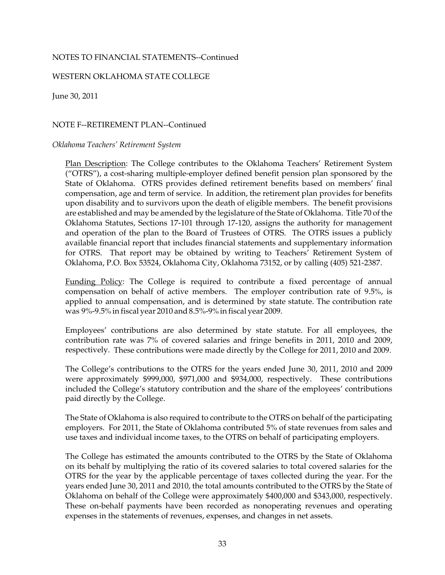#### WESTERN OKLAHOMA STATE COLLEGE

June 30, 2011

#### NOTE F--RETIREMENT PLAN--Continued

#### *Oklahoma Teachers' Retirement System*

Plan Description: The College contributes to the Oklahoma Teachers' Retirement System ("OTRS"), a cost-sharing multiple-employer defined benefit pension plan sponsored by the State of Oklahoma. OTRS provides defined retirement benefits based on members' final compensation, age and term of service. In addition, the retirement plan provides for benefits upon disability and to survivors upon the death of eligible members. The benefit provisions are established and may be amended by the legislature of the State of Oklahoma. Title 70 of the Oklahoma Statutes, Sections 17-101 through 17-120, assigns the authority for management and operation of the plan to the Board of Trustees of OTRS. The OTRS issues a publicly available financial report that includes financial statements and supplementary information for OTRS. That report may be obtained by writing to Teachers' Retirement System of Oklahoma, P.O. Box 53524, Oklahoma City, Oklahoma 73152, or by calling (405) 521-2387.

Funding Policy: The College is required to contribute a fixed percentage of annual compensation on behalf of active members. The employer contribution rate of 9.5%, is applied to annual compensation, and is determined by state statute. The contribution rate was 9%-9.5% in fiscal year 2010 and 8.5%-9% in fiscal year 2009.

Employees' contributions are also determined by state statute. For all employees, the contribution rate was 7% of covered salaries and fringe benefits in 2011, 2010 and 2009, respectively. These contributions were made directly by the College for 2011, 2010 and 2009.

The College's contributions to the OTRS for the years ended June 30, 2011, 2010 and 2009 were approximately \$999,000, \$971,000 and \$934,000, respectively. These contributions included the College's statutory contribution and the share of the employees' contributions paid directly by the College.

The State of Oklahoma is also required to contribute to the OTRS on behalf of the participating employers. For 2011, the State of Oklahoma contributed 5% of state revenues from sales and use taxes and individual income taxes, to the OTRS on behalf of participating employers.

The College has estimated the amounts contributed to the OTRS by the State of Oklahoma on its behalf by multiplying the ratio of its covered salaries to total covered salaries for the OTRS for the year by the applicable percentage of taxes collected during the year. For the years ended June 30, 2011 and 2010, the total amounts contributed to the OTRS by the State of Oklahoma on behalf of the College were approximately \$400,000 and \$343,000, respectively. These on-behalf payments have been recorded as nonoperating revenues and operating expenses in the statements of revenues, expenses, and changes in net assets.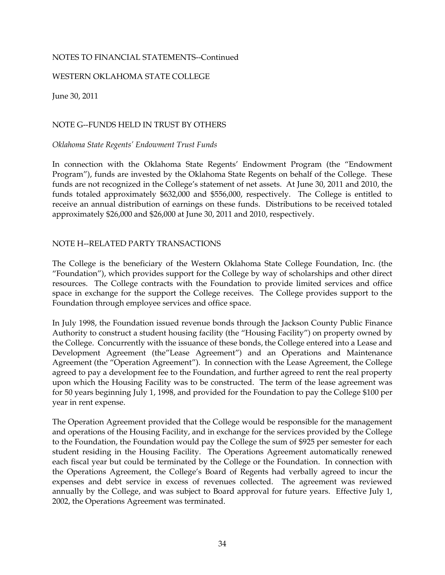#### WESTERN OKLAHOMA STATE COLLEGE

June 30, 2011

#### NOTE G--FUNDS HELD IN TRUST BY OTHERS

#### *Oklahoma State Regents' Endowment Trust Funds*

In connection with the Oklahoma State Regents' Endowment Program (the "Endowment Program"), funds are invested by the Oklahoma State Regents on behalf of the College. These funds are not recognized in the College's statement of net assets. At June 30, 2011 and 2010, the funds totaled approximately \$632,000 and \$556,000, respectively. The College is entitled to receive an annual distribution of earnings on these funds. Distributions to be received totaled approximately \$26,000 and \$26,000 at June 30, 2011 and 2010, respectively.

#### NOTE H--RELATED PARTY TRANSACTIONS

The College is the beneficiary of the Western Oklahoma State College Foundation, Inc. (the "Foundation"), which provides support for the College by way of scholarships and other direct resources. The College contracts with the Foundation to provide limited services and office space in exchange for the support the College receives. The College provides support to the Foundation through employee services and office space.

In July 1998, the Foundation issued revenue bonds through the Jackson County Public Finance Authority to construct a student housing facility (the "Housing Facility") on property owned by the College. Concurrently with the issuance of these bonds, the College entered into a Lease and Development Agreement (the"Lease Agreement") and an Operations and Maintenance Agreement (the "Operation Agreement"). In connection with the Lease Agreement, the College agreed to pay a development fee to the Foundation, and further agreed to rent the real property upon which the Housing Facility was to be constructed. The term of the lease agreement was for 50 years beginning July 1, 1998, and provided for the Foundation to pay the College \$100 per year in rent expense.

The Operation Agreement provided that the College would be responsible for the management and operations of the Housing Facility, and in exchange for the services provided by the College to the Foundation, the Foundation would pay the College the sum of \$925 per semester for each student residing in the Housing Facility. The Operations Agreement automatically renewed each fiscal year but could be terminated by the College or the Foundation. In connection with the Operations Agreement, the College's Board of Regents had verbally agreed to incur the expenses and debt service in excess of revenues collected. The agreement was reviewed annually by the College, and was subject to Board approval for future years. Effective July 1, 2002, the Operations Agreement was terminated.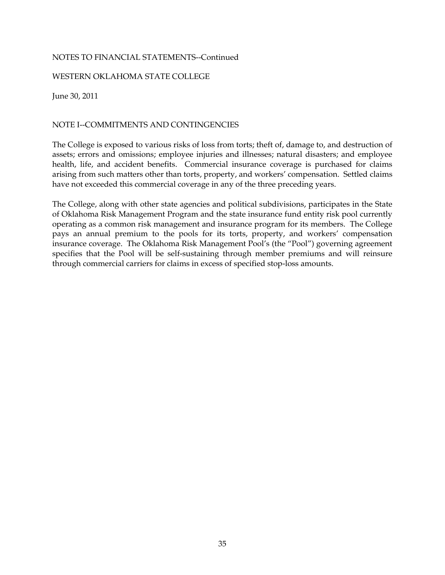#### WESTERN OKLAHOMA STATE COLLEGE

June 30, 2011

#### NOTE I--COMMITMENTS AND CONTINGENCIES

The College is exposed to various risks of loss from torts; theft of, damage to, and destruction of assets; errors and omissions; employee injuries and illnesses; natural disasters; and employee health, life, and accident benefits. Commercial insurance coverage is purchased for claims arising from such matters other than torts, property, and workers' compensation. Settled claims have not exceeded this commercial coverage in any of the three preceding years.

The College, along with other state agencies and political subdivisions, participates in the State of Oklahoma Risk Management Program and the state insurance fund entity risk pool currently operating as a common risk management and insurance program for its members. The College pays an annual premium to the pools for its torts, property, and workers' compensation insurance coverage. The Oklahoma Risk Management Pool's (the "Pool") governing agreement specifies that the Pool will be self-sustaining through member premiums and will reinsure through commercial carriers for claims in excess of specified stop-loss amounts.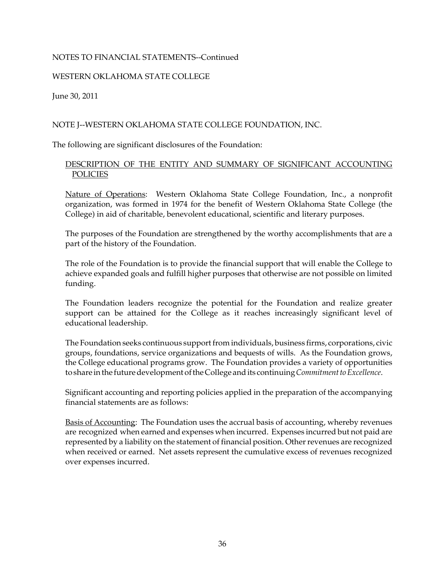#### WESTERN OKLAHOMA STATE COLLEGE

June 30, 2011

#### NOTE J--WESTERN OKLAHOMA STATE COLLEGE FOUNDATION, INC.

The following are significant disclosures of the Foundation:

#### DESCRIPTION OF THE ENTITY AND SUMMARY OF SIGNIFICANT ACCOUNTING POLICIES

Nature of Operations: Western Oklahoma State College Foundation, Inc., a nonprofit organization, was formed in 1974 for the benefit of Western Oklahoma State College (the College) in aid of charitable, benevolent educational, scientific and literary purposes.

The purposes of the Foundation are strengthened by the worthy accomplishments that are a part of the history of the Foundation.

The role of the Foundation is to provide the financial support that will enable the College to achieve expanded goals and fulfill higher purposes that otherwise are not possible on limited funding.

The Foundation leaders recognize the potential for the Foundation and realize greater support can be attained for the College as it reaches increasingly significant level of educational leadership.

The Foundation seeks continuous support from individuals, business firms, corporations, civic groups, foundations, service organizations and bequests of wills. As the Foundation grows, the College educational programs grow. The Foundation provides a variety of opportunities to share in the future development of the College and its continuing *Commitment to Excellence*.

Significant accounting and reporting policies applied in the preparation of the accompanying financial statements are as follows:

Basis of Accounting: The Foundation uses the accrual basis of accounting, whereby revenues are recognized when earned and expenses when incurred. Expenses incurred but not paid are represented by a liability on the statement of financial position. Other revenues are recognized when received or earned. Net assets represent the cumulative excess of revenues recognized over expenses incurred.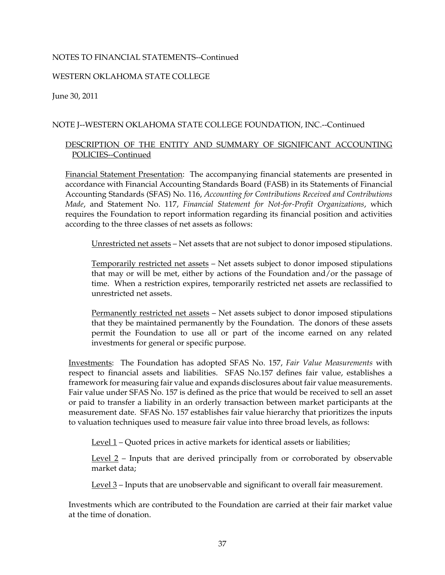#### WESTERN OKLAHOMA STATE COLLEGE

June 30, 2011

#### NOTE J--WESTERN OKLAHOMA STATE COLLEGE FOUNDATION, INC.--Continued

#### DESCRIPTION OF THE ENTITY AND SUMMARY OF SIGNIFICANT ACCOUNTING POLICIES--Continued

Financial Statement Presentation: The accompanying financial statements are presented in accordance with Financial Accounting Standards Board (FASB) in its Statements of Financial Accounting Standards (SFAS) No. 116, *Accounting for Contributions Received and Contributions Made*, and Statement No. 117, *Financial Statement for Not-for-Profit Organizations*, which requires the Foundation to report information regarding its financial position and activities according to the three classes of net assets as follows:

Unrestricted net assets – Net assets that are not subject to donor imposed stipulations.

Temporarily restricted net assets – Net assets subject to donor imposed stipulations that may or will be met, either by actions of the Foundation and/or the passage of time. When a restriction expires, temporarily restricted net assets are reclassified to unrestricted net assets.

Permanently restricted net assets – Net assets subject to donor imposed stipulations that they be maintained permanently by the Foundation. The donors of these assets permit the Foundation to use all or part of the income earned on any related investments for general or specific purpose.

Investments: The Foundation has adopted SFAS No. 157, *Fair Value Measurements* with respect to financial assets and liabilities. SFAS No.157 defines fair value, establishes a framework for measuring fair value and expands disclosures about fair value measurements. Fair value under SFAS No. 157 is defined as the price that would be received to sell an asset or paid to transfer a liability in an orderly transaction between market participants at the measurement date. SFAS No. 157 establishes fair value hierarchy that prioritizes the inputs to valuation techniques used to measure fair value into three broad levels, as follows:

Level 1 – Quoted prices in active markets for identical assets or liabilities;

Level 2 – Inputs that are derived principally from or corroborated by observable market data;

Level 3 – Inputs that are unobservable and significant to overall fair measurement.

Investments which are contributed to the Foundation are carried at their fair market value at the time of donation.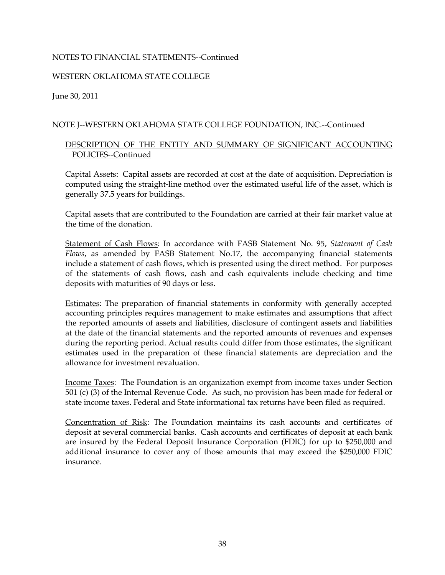#### WESTERN OKLAHOMA STATE COLLEGE

June 30, 2011

#### NOTE J--WESTERN OKLAHOMA STATE COLLEGE FOUNDATION, INC.--Continued

#### DESCRIPTION OF THE ENTITY AND SUMMARY OF SIGNIFICANT ACCOUNTING POLICIES--Continued

Capital Assets: Capital assets are recorded at cost at the date of acquisition. Depreciation is computed using the straight-line method over the estimated useful life of the asset, which is generally 37.5 years for buildings.

Capital assets that are contributed to the Foundation are carried at their fair market value at the time of the donation.

Statement of Cash Flows: In accordance with FASB Statement No. 95, *Statement of Cash Flows*, as amended by FASB Statement No.17, the accompanying financial statements include a statement of cash flows, which is presented using the direct method. For purposes of the statements of cash flows, cash and cash equivalents include checking and time deposits with maturities of 90 days or less.

Estimates: The preparation of financial statements in conformity with generally accepted accounting principles requires management to make estimates and assumptions that affect the reported amounts of assets and liabilities, disclosure of contingent assets and liabilities at the date of the financial statements and the reported amounts of revenues and expenses during the reporting period. Actual results could differ from those estimates, the significant estimates used in the preparation of these financial statements are depreciation and the allowance for investment revaluation.

Income Taxes: The Foundation is an organization exempt from income taxes under Section 501 (c) (3) of the Internal Revenue Code. As such, no provision has been made for federal or state income taxes. Federal and State informational tax returns have been filed as required.

Concentration of Risk: The Foundation maintains its cash accounts and certificates of deposit at several commercial banks. Cash accounts and certificates of deposit at each bank are insured by the Federal Deposit Insurance Corporation (FDIC) for up to \$250,000 and additional insurance to cover any of those amounts that may exceed the \$250,000 FDIC insurance.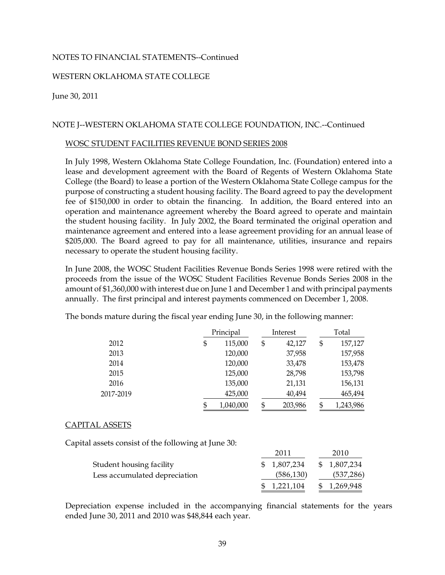#### WESTERN OKLAHOMA STATE COLLEGE

#### June 30, 2011

#### NOTE J--WESTERN OKLAHOMA STATE COLLEGE FOUNDATION, INC.--Continued

#### WOSC STUDENT FACILITIES REVENUE BOND SERIES 2008

In July 1998, Western Oklahoma State College Foundation, Inc. (Foundation) entered into a lease and development agreement with the Board of Regents of Western Oklahoma State College (the Board) to lease a portion of the Western Oklahoma State College campus for the purpose of constructing a student housing facility. The Board agreed to pay the development fee of \$150,000 in order to obtain the financing. In addition, the Board entered into an operation and maintenance agreement whereby the Board agreed to operate and maintain the student housing facility. In July 2002, the Board terminated the original operation and maintenance agreement and entered into a lease agreement providing for an annual lease of \$205,000. The Board agreed to pay for all maintenance, utilities, insurance and repairs necessary to operate the student housing facility.

In June 2008, the WOSC Student Facilities Revenue Bonds Series 1998 were retired with the proceeds from the issue of the WOSC Student Facilities Revenue Bonds Series 2008 in the amount of \$1,360,000 with interest due on June 1 and December 1 and with principal payments annually. The first principal and interest payments commenced on December 1, 2008.

|           | Principal       |    | Interest | Total         |
|-----------|-----------------|----|----------|---------------|
| 2012      | \$<br>115,000   | \$ | 42,127   | \$<br>157,127 |
| 2013      | 120,000         |    | 37,958   | 157,958       |
| 2014      | 120,000         |    | 33,478   | 153,478       |
| 2015      | 125,000         |    | 28,798   | 153,798       |
| 2016      | 135,000         |    | 21,131   | 156,131       |
| 2017-2019 | 425,000         |    | 40,494   | 465,494       |
|           | \$<br>1,040,000 | \$ | 203,986  | 1,243,986     |

The bonds mature during the fiscal year ending June 30, in the following manner:

#### CAPITAL ASSETS

Capital assets consist of the following at June 30:

|                               | 2011         | 2010         |
|-------------------------------|--------------|--------------|
| Student housing facility      | \$ 1,807,234 | \$ 1,807,234 |
| Less accumulated depreciation | (586, 130)   | (537, 286)   |
|                               | \$ 1,221,104 | \$ 1,269,948 |

Depreciation expense included in the accompanying financial statements for the years ended June 30, 2011 and 2010 was \$48,844 each year.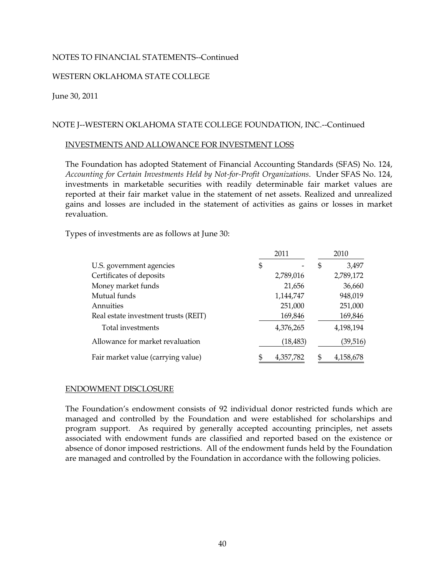#### WESTERN OKLAHOMA STATE COLLEGE

June 30, 2011

#### NOTE J--WESTERN OKLAHOMA STATE COLLEGE FOUNDATION, INC.--Continued

#### INVESTMENTS AND ALLOWANCE FOR INVESTMENT LOSS

The Foundation has adopted Statement of Financial Accounting Standards (SFAS) No. 124, *Accounting for Certain Investments Held by Not-for-Profit Organizations*. Under SFAS No. 124, investments in marketable securities with readily determinable fair market values are reported at their fair market value in the statement of net assets. Realized and unrealized gains and losses are included in the statement of activities as gains or losses in market revaluation.

Types of investments are as follows at June 30:

|                                      | 2011            | 2010            |
|--------------------------------------|-----------------|-----------------|
| U.S. government agencies             | \$              | \$<br>3,497     |
| Certificates of deposits             | 2,789,016       | 2,789,172       |
| Money market funds                   | 21,656          | 36,660          |
| Mutual funds                         | 1,144,747       | 948,019         |
| Annuities                            | 251,000         | 251,000         |
| Real estate investment trusts (REIT) | 169,846         | 169,846         |
| Total investments                    | 4,376,265       | 4,198,194       |
| Allowance for market revaluation     | (18, 483)       | (39,516)        |
| Fair market value (carrying value)   | \$<br>4,357,782 | \$<br>4,158,678 |

#### ENDOWMENT DISCLOSURE

The Foundation's endowment consists of 92 individual donor restricted funds which are managed and controlled by the Foundation and were established for scholarships and program support. As required by generally accepted accounting principles, net assets associated with endowment funds are classified and reported based on the existence or absence of donor imposed restrictions. All of the endowment funds held by the Foundation are managed and controlled by the Foundation in accordance with the following policies.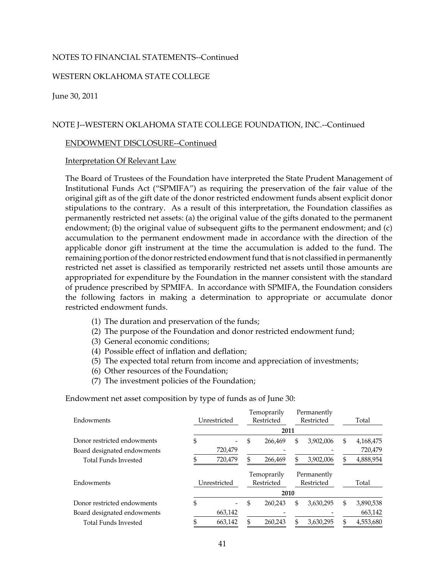#### WESTERN OKLAHOMA STATE COLLEGE

June 30, 2011

#### NOTE J--WESTERN OKLAHOMA STATE COLLEGE FOUNDATION, INC.--Continued

#### ENDOWMENT DISCLOSURE--Continued

#### Interpretation Of Relevant Law

The Board of Trustees of the Foundation have interpreted the State Prudent Management of Institutional Funds Act ("SPMIFA") as requiring the preservation of the fair value of the original gift as of the gift date of the donor restricted endowment funds absent explicit donor stipulations to the contrary. As a result of this interpretation, the Foundation classifies as permanently restricted net assets: (a) the original value of the gifts donated to the permanent endowment; (b) the original value of subsequent gifts to the permanent endowment; and (c) accumulation to the permanent endowment made in accordance with the direction of the applicable donor gift instrument at the time the accumulation is added to the fund. The remaining portion of the donor restricted endowment fund that is not classified in permanently restricted net asset is classified as temporarily restricted net assets until those amounts are appropriated for expenditure by the Foundation in the manner consistent with the standard of prudence prescribed by SPMIFA. In accordance with SPMIFA, the Foundation considers the following factors in making a determination to appropriate or accumulate donor restricted endowment funds.

- (1) The duration and preservation of the funds;
- (2) The purpose of the Foundation and donor restricted endowment fund;
- (3) General economic conditions;
- (4) Possible effect of inflation and deflation;
- (5) The expected total return from income and appreciation of investments;
- (6) Other resources of the Foundation;
- (7) The investment policies of the Foundation;

Endowment net asset composition by type of funds as of June 30:

| Endowments                  | Unrestricted |              | Temoprarily<br>Restricted |                           | Permanently<br>Restricted |                           | Total |           |
|-----------------------------|--------------|--------------|---------------------------|---------------------------|---------------------------|---------------------------|-------|-----------|
|                             |              |              |                           | 2011                      |                           |                           |       |           |
| Donor restricted endowments | \$           |              | \$                        | 266,469                   | \$                        | 3,902,006                 | \$    | 4,168,475 |
| Board designated endowments |              | 720,479      |                           |                           |                           |                           |       | 720,479   |
| <b>Total Funds Invested</b> |              | 720,479      | S                         | 266,469                   | \$                        | 3,902,006                 |       | 4,888,954 |
| Endowments                  |              | Unrestricted |                           | Temoprarily<br>Restricted |                           | Permanently<br>Restricted |       | Total     |
|                             |              |              |                           | 2010                      |                           |                           |       |           |
| Donor restricted endowments | \$           | -            | \$                        | 260.243                   | \$                        | 3,630,295                 | \$    | 3,890,538 |
| Board designated endowments |              | 663,142      |                           |                           |                           |                           |       | 663,142   |
| <b>Total Funds Invested</b> |              | 663,142      | \$                        | 260,243                   | \$                        | 3,630,295                 |       | 4,553,680 |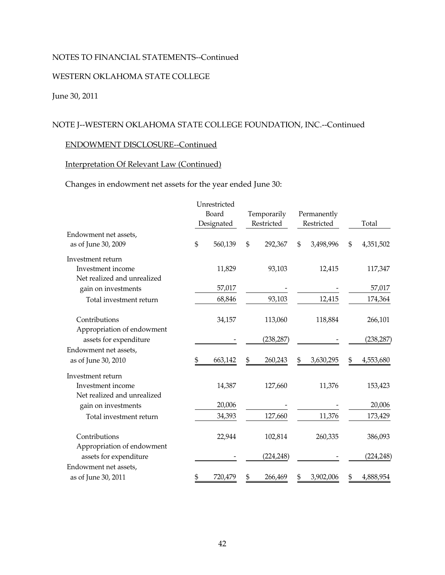### WESTERN OKLAHOMA STATE COLLEGE

### June 30, 2011

### NOTE J--WESTERN OKLAHOMA STATE COLLEGE FOUNDATION, INC.--Continued

### ENDOWMENT DISCLOSURE--Continued

### Interpretation Of Relevant Law (Continued)

### Changes in endowment net assets for the year ended June 30:

|                                              |    | Unrestricted |    |             |    |             |    |            |
|----------------------------------------------|----|--------------|----|-------------|----|-------------|----|------------|
|                                              |    | Board        |    | Temporarily |    | Permanently |    |            |
|                                              |    | Designated   |    | Restricted  |    | Restricted  |    | Total      |
| Endowment net assets,<br>as of June 30, 2009 | \$ | 560,139      | \$ | 292,367     | \$ | 3,498,996   | \$ | 4,351,502  |
| Investment return                            |    |              |    |             |    |             |    |            |
| Investment income                            |    | 11,829       |    | 93,103      |    | 12,415      |    | 117,347    |
| Net realized and unrealized                  |    |              |    |             |    |             |    |            |
| gain on investments                          |    | 57,017       |    |             |    |             |    | 57,017     |
| Total investment return                      |    | 68,846       |    | 93,103      |    | 12,415      |    | 174,364    |
| Contributions                                |    | 34,157       |    | 113,060     |    | 118,884     |    | 266,101    |
| Appropriation of endowment                   |    |              |    |             |    |             |    |            |
| assets for expenditure                       |    |              |    | (238, 287)  |    |             |    | (238, 287) |
| Endowment net assets,                        |    |              |    |             |    |             |    |            |
| as of June 30, 2010                          | \$ | 663,142      | \$ | 260,243     | S  | 3,630,295   | S  | 4,553,680  |
| Investment return                            |    |              |    |             |    |             |    |            |
| Investment income                            |    | 14,387       |    | 127,660     |    | 11,376      |    | 153,423    |
| Net realized and unrealized                  |    |              |    |             |    |             |    |            |
| gain on investments                          |    | 20,006       |    |             |    |             |    | 20,006     |
| Total investment return                      |    | 34,393       |    | 127,660     |    | 11,376      |    | 173,429    |
| Contributions                                |    | 22,944       |    | 102,814     |    | 260,335     |    | 386,093    |
| Appropriation of endowment                   |    |              |    |             |    |             |    |            |
| assets for expenditure                       |    |              |    | (224, 248)  |    |             |    | (224, 248) |
| Endowment net assets,                        |    |              |    |             |    |             |    |            |
| as of June 30, 2011                          | \$ | 720,479      | \$ | 266,469     | \$ | 3,902,006   | \$ | 4,888,954  |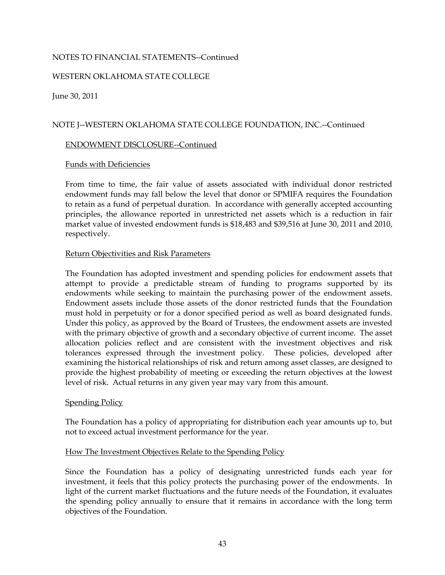#### WESTERN OKLAHOMA STATE COLLEGE

June 30, 2011

#### NOTE J--WESTERN OKLAHOMA STATE COLLEGE FOUNDATION, INC.--Continued

#### ENDOWMENT DISCLOSURE--Continued

#### Funds with Deficiencies

From time to time, the fair value of assets associated with individual donor restricted endowment funds may fall below the level that donor or SPMIFA requires the Foundation to retain as a fund of perpetual duration. In accordance with generally accepted accounting principles, the allowance reported in unrestricted net assets which is a reduction in fair market value of invested endowment funds is \$18,483 and \$39,516 at June 30, 2011 and 2010, respectively.

#### Return Objectivities and Risk Parameters

The Foundation has adopted investment and spending policies for endowment assets that attempt to provide a predictable stream of funding to programs supported by its endowments while seeking to maintain the purchasing power of the endowment assets. Endowment assets include those assets of the donor restricted funds that the Foundation must hold in perpetuity or for a donor specified period as well as board designated funds. Under this policy, as approved by the Board of Trustees, the endowment assets are invested with the primary objective of growth and a secondary objective of current income. The asset allocation policies reflect and are consistent with the investment objectives and risk tolerances expressed through the investment policy. These policies, developed after examining the historical relationships of risk and return among asset classes, are designed to provide the highest probability of meeting or exceeding the return objectives at the lowest level of risk. Actual returns in any given year may vary from this amount.

#### **Spending Policy**

The Foundation has a policy of appropriating for distribution each year amounts up to, but not to exceed actual investment performance for the year.

#### How The Investment Objectives Relate to the Spending Policy

Since the Foundation has a policy of designating unrestricted funds each year for investment, it feels that this policy protects the purchasing power of the endowments. In light of the current market fluctuations and the future needs of the Foundation, it evaluates the spending policy annually to ensure that it remains in accordance with the long term objectives of the Foundation.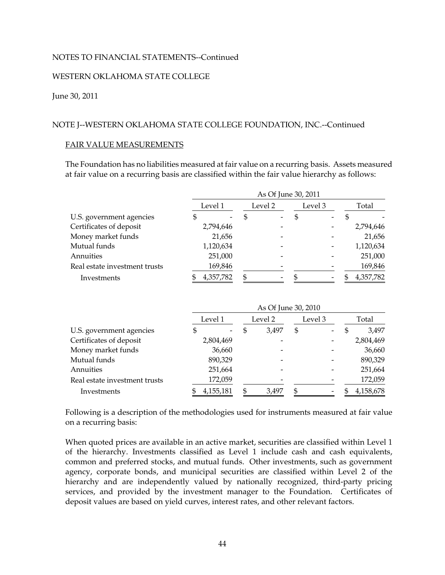#### WESTERN OKLAHOMA STATE COLLEGE

#### June 30, 2011

#### NOTE J--WESTERN OKLAHOMA STATE COLLEGE FOUNDATION, INC.--Continued

#### FAIR VALUE MEASUREMENTS

The Foundation has no liabilities measured at fair value on a recurring basis. Assets measured at fair value on a recurring basis are classified within the fair value hierarchy as follows:

|                               | As Of June 30, 2011 |           |  |         |    |         |  |           |  |  |  |
|-------------------------------|---------------------|-----------|--|---------|----|---------|--|-----------|--|--|--|
|                               |                     | Level 1   |  | Level 2 |    | Level 3 |  | Total     |  |  |  |
| U.S. government agencies      |                     |           |  |         | \$ |         |  |           |  |  |  |
| Certificates of deposit       |                     | 2,794,646 |  |         |    |         |  | 2,794,646 |  |  |  |
| Money market funds            |                     | 21,656    |  |         |    |         |  | 21,656    |  |  |  |
| Mutual funds                  |                     | 1,120,634 |  |         |    |         |  | 1,120,634 |  |  |  |
| Annuities                     |                     | 251,000   |  |         |    |         |  | 251,000   |  |  |  |
| Real estate investment trusts |                     | 169,846   |  |         |    |         |  | 169,846   |  |  |  |
| Investments                   |                     | 4,357,782 |  |         |    |         |  | 4,357,782 |  |  |  |

|                               |         | As Of June 30, 2010 |         |       |         |  |       |           |  |  |  |  |
|-------------------------------|---------|---------------------|---------|-------|---------|--|-------|-----------|--|--|--|--|
|                               | Level 1 |                     | Level 2 |       | Level 3 |  | Total |           |  |  |  |  |
| U.S. government agencies      | \$      |                     | S       | 3,497 | \$      |  |       | 3,497     |  |  |  |  |
| Certificates of deposit       |         | 2,804,469           |         |       |         |  |       | 2,804,469 |  |  |  |  |
| Money market funds            |         | 36,660              |         |       |         |  |       | 36,660    |  |  |  |  |
| Mutual funds                  |         | 890,329             |         |       |         |  |       | 890,329   |  |  |  |  |
| Annuities                     |         | 251,664             |         |       |         |  |       | 251,664   |  |  |  |  |
| Real estate investment trusts |         | 172,059             |         |       |         |  |       | 172,059   |  |  |  |  |
| Investments                   |         | 4,155,181           |         | 3,497 |         |  |       | 4,158,678 |  |  |  |  |

Following is a description of the methodologies used for instruments measured at fair value on a recurring basis:

When quoted prices are available in an active market, securities are classified within Level 1 of the hierarchy. Investments classified as Level 1 include cash and cash equivalents, common and preferred stocks, and mutual funds. Other investments, such as government agency, corporate bonds, and municipal securities are classified within Level 2 of the hierarchy and are independently valued by nationally recognized, third-party pricing services, and provided by the investment manager to the Foundation. Certificates of deposit values are based on yield curves, interest rates, and other relevant factors.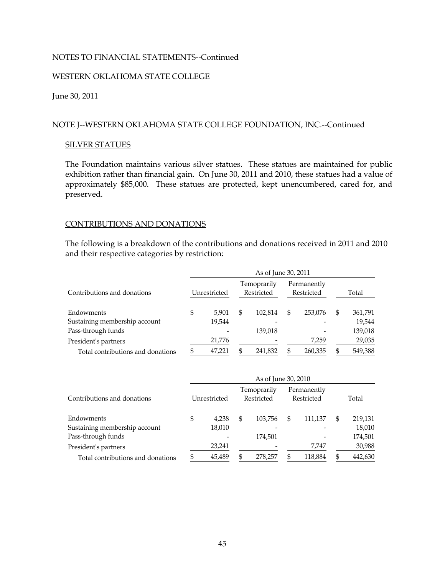#### WESTERN OKLAHOMA STATE COLLEGE

#### June 30, 2011

#### NOTE J--WESTERN OKLAHOMA STATE COLLEGE FOUNDATION, INC.--Continued

#### SILVER STATUES

The Foundation maintains various silver statues. These statues are maintained for public exhibition rather than financial gain. On June 30, 2011 and 2010, these statues had a value of approximately \$85,000. These statues are protected, kept unencumbered, cared for, and preserved.

#### CONTRIBUTIONS AND DONATIONS

The following is a breakdown of the contributions and donations received in 2011 and 2010 and their respective categories by restriction:

|                                   | As of June 30, 2011 |              |                           |         |                           |         |   |         |  |  |  |
|-----------------------------------|---------------------|--------------|---------------------------|---------|---------------------------|---------|---|---------|--|--|--|
| Contributions and donations       |                     | Unrestricted | Temoprarily<br>Restricted |         | Permanently<br>Restricted |         |   | Total   |  |  |  |
| Endowments                        | \$                  | 5,901        | \$                        | 102,814 | \$                        | 253,076 | S | 361,791 |  |  |  |
| Sustaining membership account     |                     | 19,544       |                           |         |                           |         |   | 19,544  |  |  |  |
| Pass-through funds                |                     |              |                           | 139,018 |                           |         |   | 139,018 |  |  |  |
| President's partners              |                     | 21,776       |                           |         |                           | 7,259   |   | 29,035  |  |  |  |
| Total contributions and donations | \$                  | 47.221       | \$                        | 241,832 | S                         | 260,335 |   | 549,388 |  |  |  |

|                                   | As of June 30, 2010 |              |                           |         |                           |         |   |         |  |  |  |
|-----------------------------------|---------------------|--------------|---------------------------|---------|---------------------------|---------|---|---------|--|--|--|
| Contributions and donations       |                     | Unrestricted | Temoprarily<br>Restricted |         | Permanently<br>Restricted |         |   | Total   |  |  |  |
| Endowments                        | \$                  | 4,238        | \$                        | 103,756 | \$                        | 111,137 | S | 219,131 |  |  |  |
| Sustaining membership account     |                     | 18,010       |                           |         |                           |         |   | 18,010  |  |  |  |
| Pass-through funds                |                     |              |                           | 174,501 |                           |         |   | 174,501 |  |  |  |
| President's partners              |                     | 23,241       |                           |         |                           | 7,747   |   | 30,988  |  |  |  |
| Total contributions and donations |                     | 45,489       | \$                        | 278,257 |                           | 118,884 |   | 442,630 |  |  |  |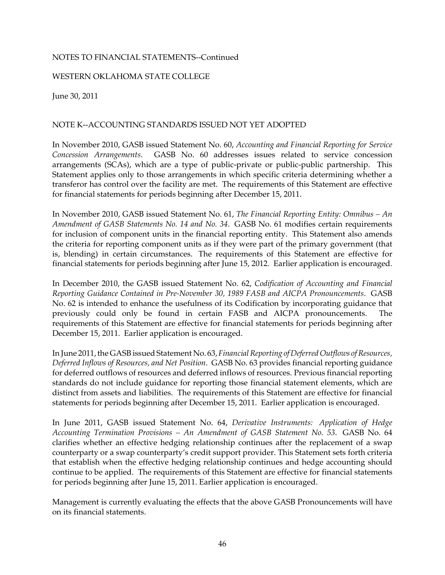#### WESTERN OKLAHOMA STATE COLLEGE

June 30, 2011

#### NOTE K--ACCOUNTING STANDARDS ISSUED NOT YET ADOPTED

In November 2010, GASB issued Statement No. 60, *Accounting and Financial Reporting for Service Concession Arrangements*. GASB No. 60 addresses issues related to service concession arrangements (SCAs), which are a type of public-private or public-public partnership. This Statement applies only to those arrangements in which specific criteria determining whether a transferor has control over the facility are met. The requirements of this Statement are effective for financial statements for periods beginning after December 15, 2011.

In November 2010, GASB issued Statement No. 61, *The Financial Reporting Entity: Omnibus – An Amendment of GASB Statements No. 14 and No. 34*. GASB No. 61 modifies certain requirements for inclusion of component units in the financial reporting entity. This Statement also amends the criteria for reporting component units as if they were part of the primary government (that is, blending) in certain circumstances. The requirements of this Statement are effective for financial statements for periods beginning after June 15, 2012. Earlier application is encouraged.

In December 2010, the GASB issued Statement No. 62, *Codification of Accounting and Financial Reporting Guidance Contained in Pre-November 30, 1989 FASB and AICPA Pronouncements*. GASB No. 62 is intended to enhance the usefulness of its Codification by incorporating guidance that previously could only be found in certain FASB and AICPA pronouncements. The requirements of this Statement are effective for financial statements for periods beginning after December 15, 2011. Earlier application is encouraged.

In June 2011, the GASB issued Statement No. 63, *Financial Reporting of Deferred Outflows of Resources*, *Deferred Inflows of Resources, and Net Position*. GASB No. 63 provides financial reporting guidance for deferred outflows of resources and deferred inflows of resources. Previous financial reporting standards do not include guidance for reporting those financial statement elements, which are distinct from assets and liabilities. The requirements of this Statement are effective for financial statements for periods beginning after December 15, 2011. Earlier application is encouraged.

In June 2011, GASB issued Statement No. 64, *Derivative Instruments: Application of Hedge Accounting Termination Provisions – An Amendment of GASB Statement No. 53*. GASB No. 64 clarifies whether an effective hedging relationship continues after the replacement of a swap counterparty or a swap counterparty's credit support provider. This Statement sets forth criteria that establish when the effective hedging relationship continues and hedge accounting should continue to be applied. The requirements of this Statement are effective for financial statements for periods beginning after June 15, 2011. Earlier application is encouraged.

Management is currently evaluating the effects that the above GASB Pronouncements will have on its financial statements.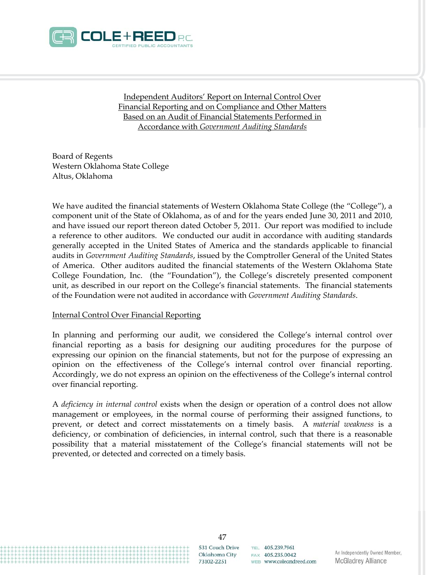

Independent Auditors' Report on Internal Control Over Financial Reporting and on Compliance and Other Matters Based on an Audit of Financial Statements Performed in Accordance with *Government Auditing Standards*

Board of Regents Western Oklahoma State College Altus, Oklahoma

We have audited the financial statements of Western Oklahoma State College (the "College"), a component unit of the State of Oklahoma, as of and for the years ended June 30, 2011 and 2010, and have issued our report thereon dated October 5, 2011. Our report was modified to include a reference to other auditors. We conducted our audit in accordance with auditing standards generally accepted in the United States of America and the standards applicable to financial audits in *Government Auditing Standards*, issued by the Comptroller General of the United States of America. Other auditors audited the financial statements of the Western Oklahoma State College Foundation, Inc. (the "Foundation"), the College's discretely presented component unit, as described in our report on the College's financial statements. The financial statements of the Foundation were not audited in accordance with *Government Auditing Standards*.

#### Internal Control Over Financial Reporting

In planning and performing our audit, we considered the College's internal control over financial reporting as a basis for designing our auditing procedures for the purpose of expressing our opinion on the financial statements, but not for the purpose of expressing an opinion on the effectiveness of the College's internal control over financial reporting. Accordingly, we do not express an opinion on the effectiveness of the College's internal control over financial reporting.

A *deficiency in internal control* exists when the design or operation of a control does not allow management or employees, in the normal course of performing their assigned functions, to prevent, or detect and correct misstatements on a timely basis. A *material weakness* is a deficiency, or combination of deficiencies, in internal control, such that there is a reasonable possibility that a material misstatement of the College's financial statements will not be prevented, or detected and corrected on a timely basis.

> 47 531 Couch Drive Oklahoma City 73102-2251

TEL 405.239.7961  $FAx$  405 235 0042 WEB www.coleandreed.com

An Independently Owned Member, **McGladrey Alliance**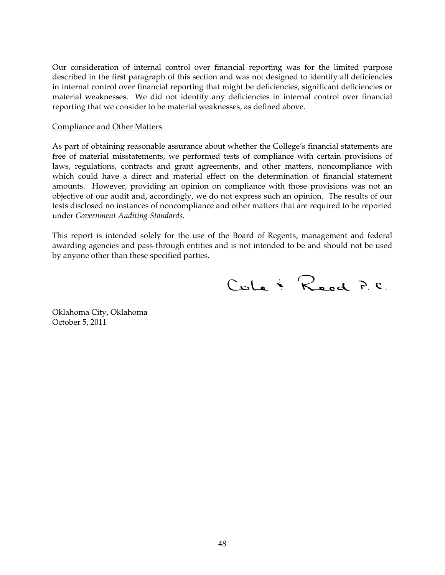Our consideration of internal control over financial reporting was for the limited purpose described in the first paragraph of this section and was not designed to identify all deficiencies in internal control over financial reporting that might be deficiencies, significant deficiencies or material weaknesses. We did not identify any deficiencies in internal control over financial reporting that we consider to be material weaknesses, as defined above.

#### Compliance and Other Matters

As part of obtaining reasonable assurance about whether the College's financial statements are free of material misstatements, we performed tests of compliance with certain provisions of laws, regulations, contracts and grant agreements, and other matters, noncompliance with which could have a direct and material effect on the determination of financial statement amounts. However, providing an opinion on compliance with those provisions was not an objective of our audit and, accordingly, we do not express such an opinion. The results of our tests disclosed no instances of noncompliance and other matters that are required to be reported under *Government Auditing Standards*.

This report is intended solely for the use of the Board of Regents, management and federal awarding agencies and pass-through entities and is not intended to be and should not be used by anyone other than these specified parties.

Cula & Reed P.C.

Oklahoma City, Oklahoma October 5, 2011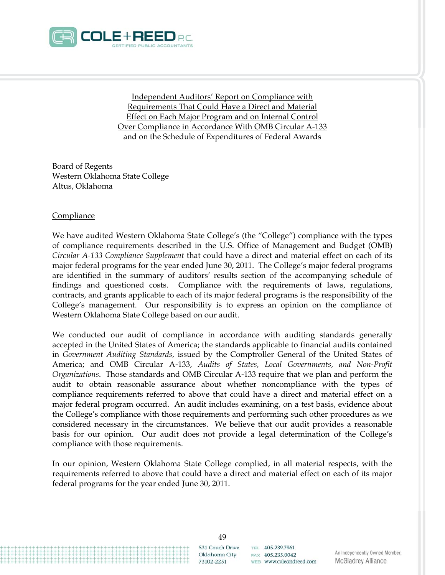

Independent Auditors' Report on Compliance with Requirements That Could Have a Direct and Material Effect on Each Major Program and on Internal Control Over Compliance in Accordance With OMB Circular A-133 and on the Schedule of Expenditures of Federal Awards

Board of Regents Western Oklahoma State College Altus, Oklahoma

#### **Compliance**

We have audited Western Oklahoma State College's (the "College") compliance with the types of compliance requirements described in the U.S. Office of Management and Budget (OMB) *Circular A-133 Compliance Supplement* that could have a direct and material effect on each of its major federal programs for the year ended June 30, 2011. The College's major federal programs are identified in the summary of auditors' results section of the accompanying schedule of findings and questioned costs. Compliance with the requirements of laws, regulations, contracts, and grants applicable to each of its major federal programs is the responsibility of the College's management. Our responsibility is to express an opinion on the compliance of Western Oklahoma State College based on our audit.

We conducted our audit of compliance in accordance with auditing standards generally accepted in the United States of America; the standards applicable to financial audits contained in *Government Auditing Standards,* issued by the Comptroller General of the United States of America; and OMB Circular A-133, *Audits of States, Local Governments, and Non-Profit Organizations*. Those standards and OMB Circular A-133 require that we plan and perform the audit to obtain reasonable assurance about whether noncompliance with the types of compliance requirements referred to above that could have a direct and material effect on a major federal program occurred. An audit includes examining, on a test basis, evidence about the College's compliance with those requirements and performing such other procedures as we considered necessary in the circumstances. We believe that our audit provides a reasonable basis for our opinion. Our audit does not provide a legal determination of the College's compliance with those requirements.

In our opinion, Western Oklahoma State College complied, in all material respects, with the requirements referred to above that could have a direct and material effect on each of its major federal programs for the year ended June 30, 2011.

> 49 531 Couch Drive Oklahoma City 73102-2251

TEL 405.239.7961  $FAx$  405 235 0042 WEB www.coleandreed.com

An Independently Owned Member, **McGladrey Alliance**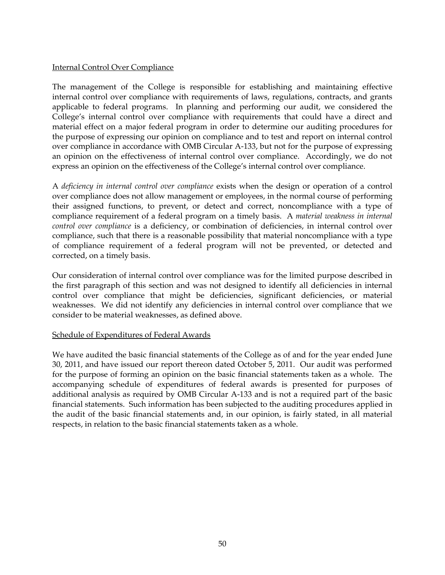#### Internal Control Over Compliance

The management of the College is responsible for establishing and maintaining effective internal control over compliance with requirements of laws, regulations, contracts, and grants applicable to federal programs. In planning and performing our audit, we considered the College's internal control over compliance with requirements that could have a direct and material effect on a major federal program in order to determine our auditing procedures for the purpose of expressing our opinion on compliance and to test and report on internal control over compliance in accordance with OMB Circular A-133, but not for the purpose of expressing an opinion on the effectiveness of internal control over compliance. Accordingly, we do not express an opinion on the effectiveness of the College's internal control over compliance.

A *deficiency in internal control over compliance* exists when the design or operation of a control over compliance does not allow management or employees, in the normal course of performing their assigned functions, to prevent, or detect and correct, noncompliance with a type of compliance requirement of a federal program on a timely basis. A *material weakness in internal control over compliance* is a deficiency, or combination of deficiencies, in internal control over compliance, such that there is a reasonable possibility that material noncompliance with a type of compliance requirement of a federal program will not be prevented, or detected and corrected, on a timely basis.

Our consideration of internal control over compliance was for the limited purpose described in the first paragraph of this section and was not designed to identify all deficiencies in internal control over compliance that might be deficiencies, significant deficiencies, or material weaknesses. We did not identify any deficiencies in internal control over compliance that we consider to be material weaknesses, as defined above.

#### Schedule of Expenditures of Federal Awards

We have audited the basic financial statements of the College as of and for the year ended June 30, 2011, and have issued our report thereon dated October 5, 2011. Our audit was performed for the purpose of forming an opinion on the basic financial statements taken as a whole. The accompanying schedule of expenditures of federal awards is presented for purposes of additional analysis as required by OMB Circular A-133 and is not a required part of the basic financial statements. Such information has been subjected to the auditing procedures applied in the audit of the basic financial statements and, in our opinion, is fairly stated, in all material respects, in relation to the basic financial statements taken as a whole.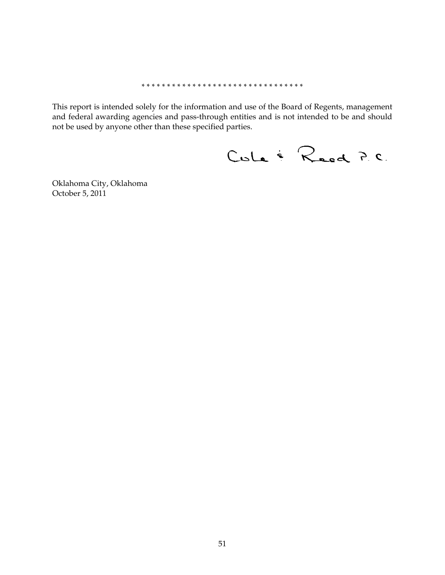#### \* \* \* \* \* \* \* \* \* \* \* \* \* \* \* \* \* \* \* \* \* \* \* \* \* \* \* \* \* \* \* \*

This report is intended solely for the information and use of the Board of Regents, management and federal awarding agencies and pass-through entities and is not intended to be and should not be used by anyone other than these specified parties.

Cule & Reed P.C.

Oklahoma City, Oklahoma October 5, 2011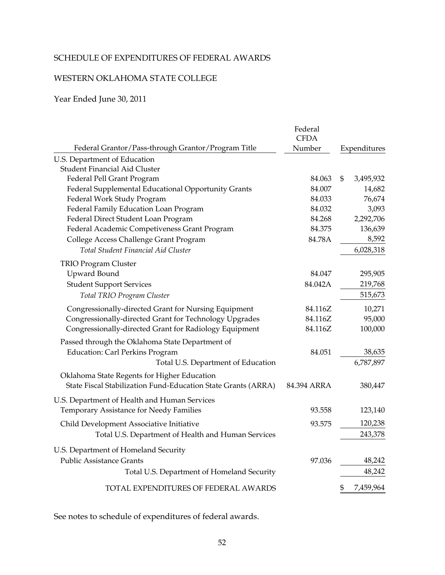## SCHEDULE OF EXPENDITURES OF FEDERAL AWARDS

### WESTERN OKLAHOMA STATE COLLEGE

Year Ended June 30, 2011

|                                                               | Federal<br><b>CFDA</b> |                 |
|---------------------------------------------------------------|------------------------|-----------------|
| Federal Grantor/Pass-through Grantor/Program Title            | Number                 | Expenditures    |
| U.S. Department of Education                                  |                        |                 |
| <b>Student Financial Aid Cluster</b>                          |                        |                 |
| Federal Pell Grant Program                                    | 84.063                 | \$<br>3,495,932 |
| Federal Supplemental Educational Opportunity Grants           | 84.007                 | 14,682          |
| Federal Work Study Program                                    | 84.033                 | 76,674          |
| Federal Family Education Loan Program                         | 84.032                 | 3,093           |
| Federal Direct Student Loan Program                           | 84.268                 | 2,292,706       |
| Federal Academic Competiveness Grant Program                  | 84.375                 | 136,639         |
| College Access Challenge Grant Program                        | 84.78A                 | 8,592           |
| Total Student Financial Aid Cluster                           |                        | 6,028,318       |
| <b>TRIO Program Cluster</b>                                   |                        |                 |
| <b>Upward Bound</b>                                           | 84.047                 | 295,905         |
| <b>Student Support Services</b>                               | 84.042A                | 219,768         |
| Total TRIO Program Cluster                                    |                        | 515,673         |
| Congressionally-directed Grant for Nursing Equipment          | 84.116Z                | 10,271          |
| Congressionally-directed Grant for Technology Upgrades        | 84.116Z                | 95,000          |
| Congressionally-directed Grant for Radiology Equipment        | 84.116Z                | 100,000         |
| Passed through the Oklahoma State Department of               |                        |                 |
| <b>Education: Carl Perkins Program</b>                        | 84.051                 | 38,635          |
| Total U.S. Department of Education                            |                        | 6,787,897       |
| Oklahoma State Regents for Higher Education                   |                        |                 |
| State Fiscal Stabilization Fund-Education State Grants (ARRA) | 84.394 ARRA            | 380,447         |
| U.S. Department of Health and Human Services                  |                        |                 |
| Temporary Assistance for Needy Families                       | 93.558                 | 123,140         |
| Child Development Associative Initiative                      | 93.575                 | 120,238         |
| Total U.S. Department of Health and Human Services            |                        | 243,378         |
| U.S. Department of Homeland Security                          |                        |                 |
| <b>Public Assistance Grants</b>                               | 97.036                 | 48,242          |
| Total U.S. Department of Homeland Security                    |                        | 48,242          |
| TOTAL EXPENDITURES OF FEDERAL AWARDS                          |                        | \$<br>7,459,964 |

See notes to schedule of expenditures of federal awards.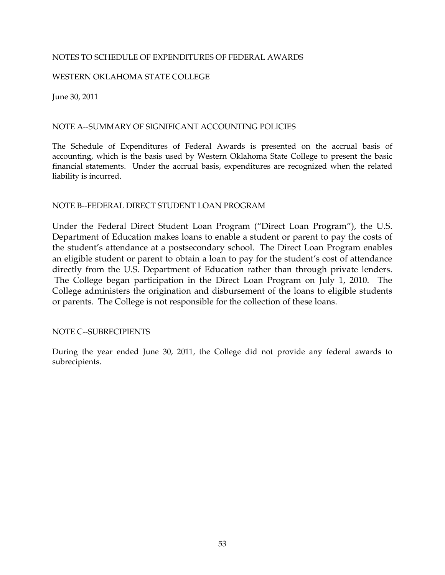#### NOTES TO SCHEDULE OF EXPENDITURES OF FEDERAL AWARDS

#### WESTERN OKLAHOMA STATE COLLEGE

June 30, 2011

#### NOTE A--SUMMARY OF SIGNIFICANT ACCOUNTING POLICIES

The Schedule of Expenditures of Federal Awards is presented on the accrual basis of accounting, which is the basis used by Western Oklahoma State College to present the basic financial statements. Under the accrual basis, expenditures are recognized when the related liability is incurred.

#### NOTE B--FEDERAL DIRECT STUDENT LOAN PROGRAM

Under the Federal Direct Student Loan Program ("Direct Loan Program"), the U.S. Department of Education makes loans to enable a student or parent to pay the costs of the student's attendance at a postsecondary school. The Direct Loan Program enables an eligible student or parent to obtain a loan to pay for the student's cost of attendance directly from the U.S. Department of Education rather than through private lenders. The College began participation in the Direct Loan Program on July 1, 2010. The College administers the origination and disbursement of the loans to eligible students or parents. The College is not responsible for the collection of these loans.

#### NOTE C--SUBRECIPIENTS

During the year ended June 30, 2011, the College did not provide any federal awards to subrecipients.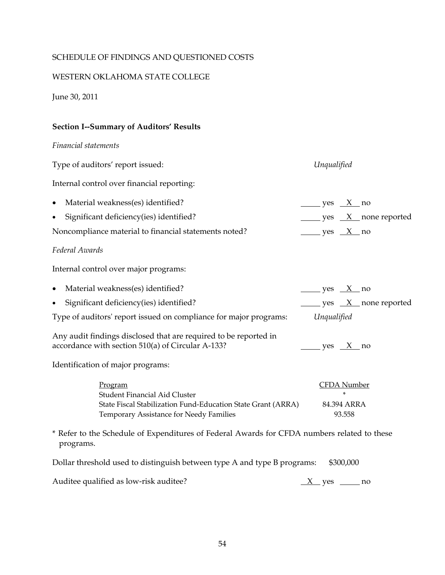#### SCHEDULE OF FINDINGS AND QUESTIONED COSTS

#### WESTERN OKLAHOMA STATE COLLEGE

June 30, 2011

#### **Section I--Summary of Auditors' Results**

*Financial statements*

Type of auditors' report issued: *Unqualified* Internal control over financial reporting: • Material weakness(es) identified?  $\qquad \qquad \qquad \qquad \qquad \qquad \qquad \qquad \qquad \qquad \qquad \text{yes} \quad X \quad \text{no}$ Significant deficiency(ies) identified? yes X none reported Noncompliance material to financial statements noted?  $\qquad \qquad \qquad \qquad \qquad \qquad \qquad \text{yes} \quad X \quad \text{no}$ *Federal Awards*  Internal control over major programs: • Material weakness(es) identified? ves X no Significant deficiency(ies) identified? yes X none reported Type of auditors' report issued on compliance for major programs: *Unqualified* Any audit findings disclosed that are required to be reported in accordance with section 510(a) of Circular A-133? yes  $X$  no Identification of major programs: CFDA Number Student Financial Aid Cluster \* State Fiscal Stabilization Fund-Education State Grant (ARRA) 84.394 ARRA Temporary Assistance for Needy Families 93.558 Program \* Refer to the Schedule of Expenditures of Federal Awards for CFDA numbers related to these programs. Dollar threshold used to distinguish between type A and type B programs: \$300,000

| Auditee qualified as low-risk auditee? | X ves | no |
|----------------------------------------|-------|----|
|----------------------------------------|-------|----|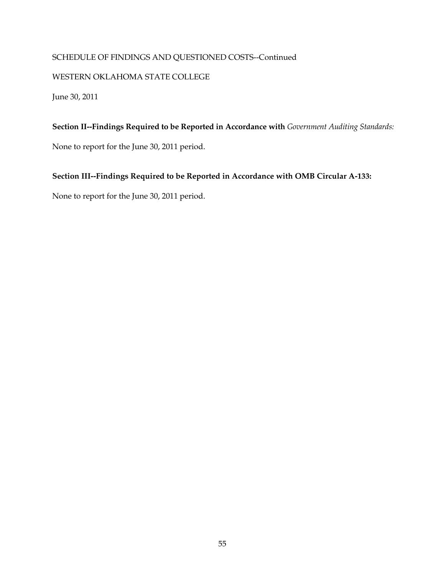### SCHEDULE OF FINDINGS AND QUESTIONED COSTS--Continued

#### WESTERN OKLAHOMA STATE COLLEGE

June 30, 2011

**Section II--Findings Required to be Reported in Accordance with** *Government Auditing Standards:* 

None to report for the June 30, 2011 period.

### **Section III--Findings Required to be Reported in Accordance with OMB Circular A-133:**

None to report for the June 30, 2011 period.